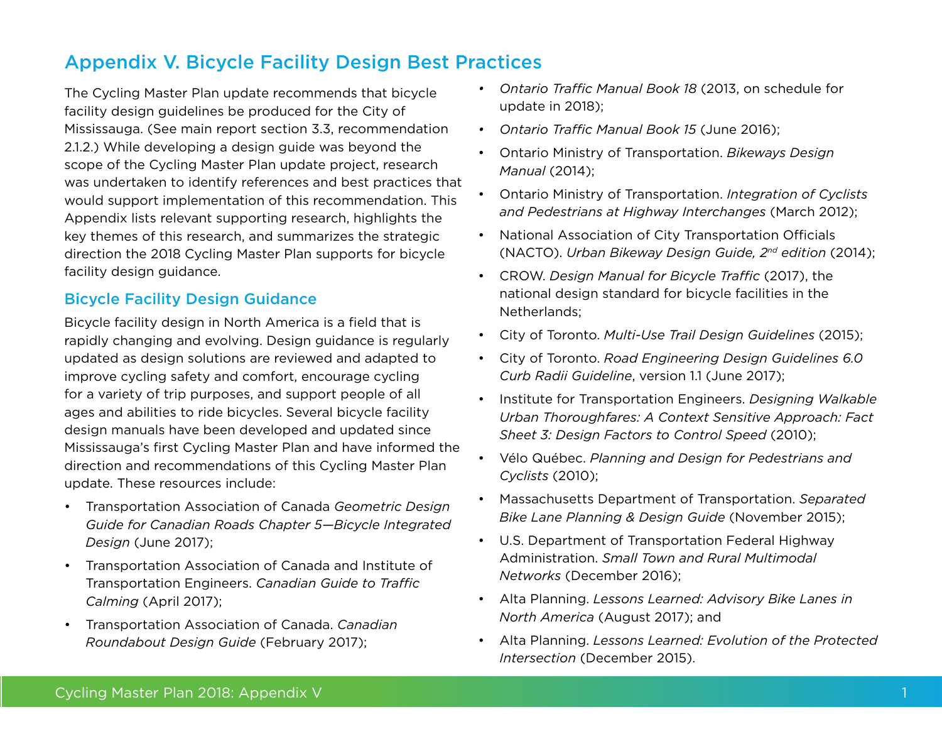# Appendix V. Bicycle Facility Design Best Practices

The Cycling Master Plan update recommends that bicycle facility design guidelines be produced for the City of Mississauga. (See main report section 3.3, recommendation 2.1.2.) While developing a design guide was beyond the scope of the Cycling Master Plan update project, research was undertaken to identify references and best practices that would support implementation of this recommendation. This Appendix lists relevant supporting research, highlights the key themes of this research, and summarizes the strategic direction the 2018 Cycling Master Plan supports for bicycle facility design guidance.

## Bicycle Facility Design Guidance

Bicycle facility design in North America is a field that is rapidly changing and evolving. Design guidance is regularly updated as design solutions are reviewed and adapted to improve cycling safety and comfort, encourage cycling for a variety of trip purposes, and support people of all ages and abilities to ride bicycles. Several bicycle facility design manuals have been developed and updated since Mississauga's first Cycling Master Plan and have informed the direction and recommendations of this Cycling Master Plan update. These resources include:

- • Transportation Association of Canada *Geometric Design Guide for Canadian Roads Chapter 5—Bicycle Integrated Design* (June 2017);
- • Transportation Association of Canada and Institute of Transportation Engineers. *Canadian Guide to Traffic Calming* (April 2017);
- • Transportation Association of Canada. *Canadian Roundabout Design Guide* (February 2017);
- *• Ontario Traffic Manual Book 18* (2013, on schedule for update in 2018);
- *• Ontario Traffic Manual Book 15* (June 2016);
- **Ontario Ministry of Transportation. Bikeways Design** *Manual* (2014);
- • Ontario Ministry of Transportation. *Integration of Cyclists and Pedestrians at Highway Interchanges* (March 2012);
- National Association of City Transportation Officials (NACTO). *Urban Bikeway Design Guide, 2nd edition* (2014);
- • CROW. *Design Manual for Bicycle Traffic* (2017), the national design standard for bicycle facilities in the Netherlands;
- • City of Toronto. *Multi-Use Trail Design Guidelines* (2015);
- • City of Toronto. *Road Engineering Design Guidelines 6.0 Curb Radii Guideline*, version 1.1 (June 2017);
- **Institute for Transportation Engineers. Designing Walkable** *Urban Thoroughfares: A Context Sensitive Approach: Fact Sheet 3: Design Factors to Control Speed* (2010);
- Vélo Québec. *Planning and Design for Pedestrians and Cyclists* (2010);
- Massachusetts Department of Transportation. Separated *Bike Lane Planning & Design Guide* (November 2015);
- • U.S. Department of Transportation Federal Highway Administration. *Small Town and Rural Multimodal Networks* (December 2016);
- • Alta Planning. *Lessons Learned: Advisory Bike Lanes in North America* (August 2017); and
- • Alta Planning. *Lessons Learned: Evolution of the Protected Intersection* (December 2015).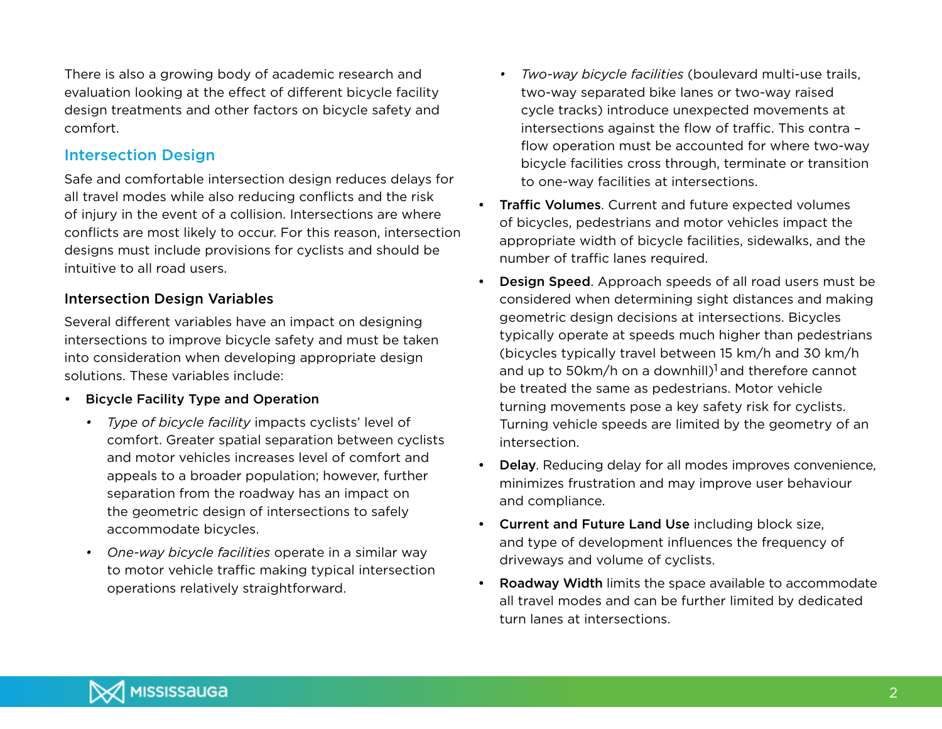There is also a growing body of academic research and evaluation looking at the effect of different bicycle facility design treatments and other factors on bicycle safety and comfort.

## Intersection Design

Safe and comfortable intersection design reduces delays for all travel modes while also reducing conflicts and the risk of injury in the event of a collision. Intersections are where conflicts are most likely to occur. For this reason, intersection designs must include provisions for cyclists and should be intuitive to all road users.

## Intersection Design Variables

Several different variables have an impact on designing intersections to improve bicycle safety and must be taken into consideration when developing appropriate design solutions. These variables include:

- • Bicycle Facility Type and Operation
	- *• Type of bicycle facility* impacts cyclists' level of comfort. Greater spatial separation between cyclists and motor vehicles increases level of comfort and appeals to a broader population; however, further separation from the roadway has an impact on the geometric design of intersections to safely accommodate bicycles.
	- *• One-way bicycle facilities* operate in a similar way to motor vehicle traffic making typical intersection operations relatively straightforward.
- *• Two-way bicycle facilities* (boulevard multi-use trails, two-way separated bike lanes or two-way raised cycle tracks) introduce unexpected movements at intersections against the flow of traffic. This contra – flow operation must be accounted for where two-way bicycle facilities cross through, terminate or transition to one-way facilities at intersections.
- **Traffic Volumes.** Current and future expected volumes of bicycles, pedestrians and motor vehicles impact the appropriate width of bicycle facilities, sidewalks, and the number of traffic lanes required.
- **Design Speed.** Approach speeds of all road users must be considered when determining sight distances and making geometric design decisions at intersections. Bicycles typically operate at speeds much higher than pedestrians (bicycles typically travel between 15 km/h and 30 km/h and up to 50km/h on a downhill)<sup>1</sup> and therefore cannot be treated the same as pedestrians. Motor vehicle turning movements pose a key safety risk for cyclists. Turning vehicle speeds are limited by the geometry of an intersection.
- **Delay**. Reducing delay for all modes improves convenience, minimizes frustration and may improve user behaviour and compliance.
- • Current and Future Land Use including block size, and type of development influences the frequency of driveways and volume of cyclists.
- Roadway Width limits the space available to accommodate all travel modes and can be further limited by dedicated turn lanes at intersections.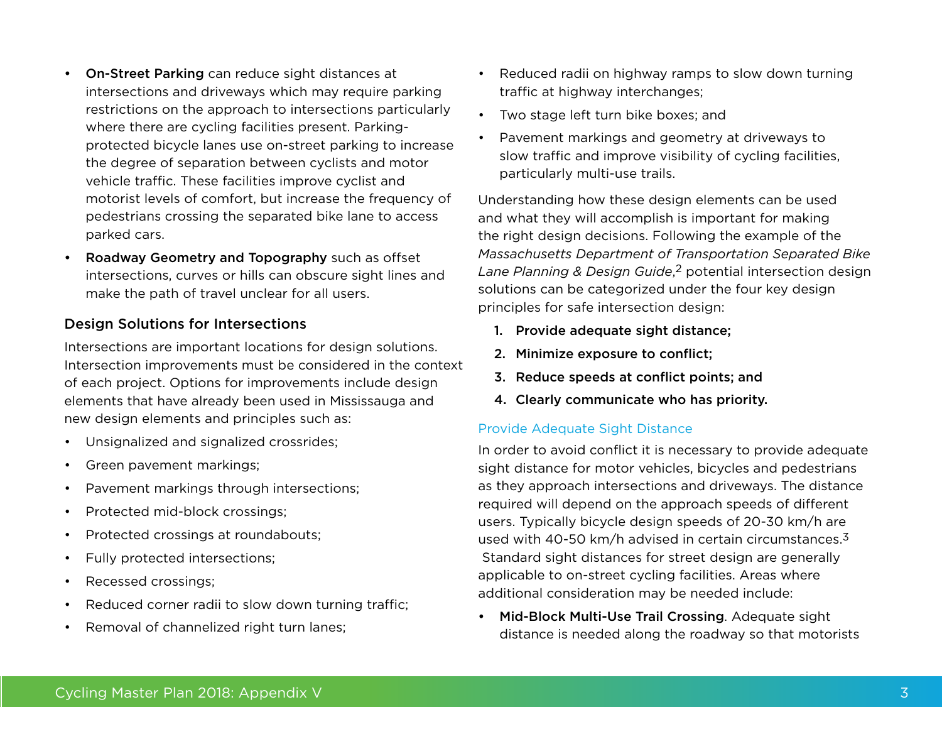- On-Street Parking can reduce sight distances at intersections and driveways which may require parking restrictions on the approach to intersections particularly where there are cycling facilities present. Parkingprotected bicycle lanes use on-street parking to increase the degree of separation between cyclists and motor vehicle traffic. These facilities improve cyclist and motorist levels of comfort, but increase the frequency of pedestrians crossing the separated bike lane to access parked cars.
- Roadway Geometry and Topography such as offset intersections, curves or hills can obscure sight lines and make the path of travel unclear for all users.

## Design Solutions for Intersections

Intersections are important locations for design solutions. Intersection improvements must be considered in the context of each project. Options for improvements include design elements that have already been used in Mississauga and new design elements and principles such as:

- • Unsignalized and signalized crossrides;
- • Green pavement markings;
- • Pavement markings through intersections;
- Protected mid-block crossings;
- • Protected crossings at roundabouts;
- • Fully protected intersections;
- Recessed crossings;
- Reduced corner radii to slow down turning traffic;
- • Removal of channelized right turn lanes;
- Reduced radii on highway ramps to slow down turning traffic at highway interchanges;
- • Two stage left turn bike boxes; and
- Pavement markings and geometry at driveways to slow traffic and improve visibility of cycling facilities, particularly multi-use trails.

Understanding how these design elements can be used and what they will accomplish is important for making the right design decisions. Following the example of the *Massachusetts Department of Transportation Separated Bike Lane Planning & Design Guide*, 2 potential intersection design solutions can be categorized under the four key design principles for safe intersection design:

- 1. Provide adequate sight distance;
- 2. Minimize exposure to conflict;
- 3. Reduce speeds at conflict points; and
- 4. Clearly communicate who has priority.

## Provide Adequate Sight Distance

In order to avoid conflict it is necessary to provide adequate sight distance for motor vehicles, bicycles and pedestrians as they approach intersections and driveways. The distance required will depend on the approach speeds of different users. Typically bicycle design speeds of 20-30 km/h are used with 40-50 km/h advised in certain circumstances. $3$  Standard sight distances for street design are generally applicable to on-street cycling facilities. Areas where additional consideration may be needed include:

• Mid-Block Multi-Use Trail Crossing. Adequate sight distance is needed along the roadway so that motorists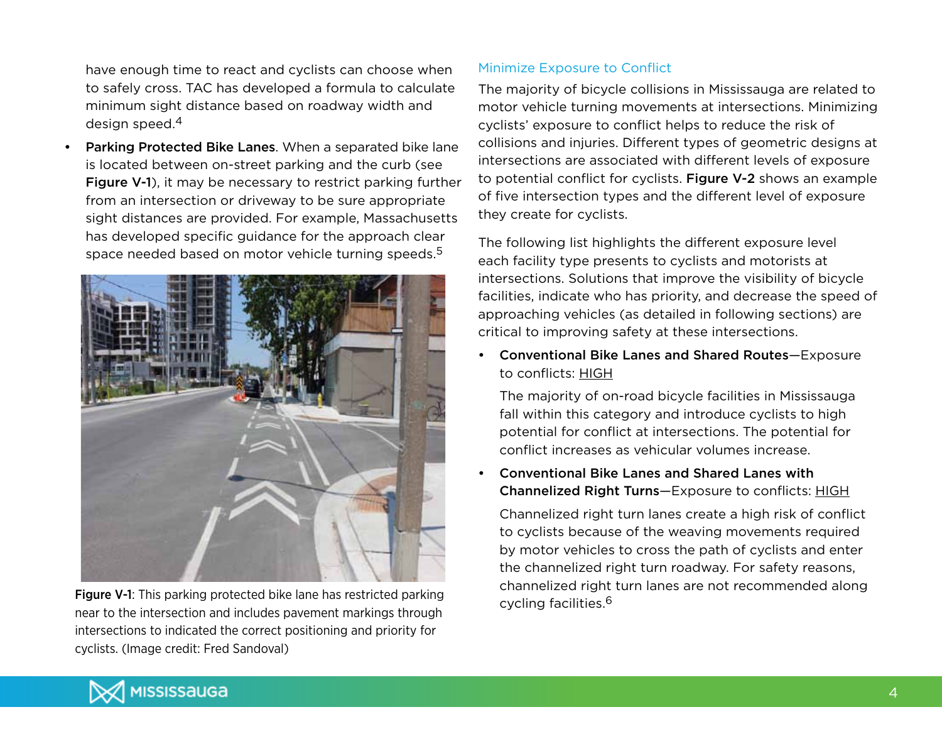have enough time to react and cyclists can choose when to safely cross. TAC has developed a formula to calculate minimum sight distance based on roadway width and design speed.4

Parking Protected Bike Lanes. When a separated bike lane is located between on-street parking and the curb (see Figure V-1), it may be necessary to restrict parking further from an intersection or driveway to be sure appropriate sight distances are provided. For example, Massachusetts has developed specific guidance for the approach clear space needed based on motor vehicle turning speeds.<sup>5</sup>



Figure V-1: This parking protected bike lane has restricted parking execution of the execution of the execution of the execution of the execution of the execution of the execution of the execution of the execution of the e near to the intersection and includes pavement markings through intersections to indicated the correct positioning and priority for cyclists. (Image credit: Fred Sandoval)

## Minimize Exposure to Conflict

The majority of bicycle collisions in Mississauga are related to motor vehicle turning movements at intersections. Minimizing cyclists' exposure to conflict helps to reduce the risk of collisions and injuries. Different types of geometric designs at intersections are associated with different levels of exposure to potential conflict for cyclists. Figure V-2 shows an example of five intersection types and the different level of exposure they create for cyclists.

The following list highlights the different exposure level each facility type presents to cyclists and motorists at intersections. Solutions that improve the visibility of bicycle facilities, indicate who has priority, and decrease the speed of approaching vehicles (as detailed in following sections) are critical to improving safety at these intersections.

• Conventional Bike Lanes and Shared Routes—Exposure to conflicts: HIGH

The majority of on-road bicycle facilities in Mississauga fall within this category and introduce cyclists to high potential for conflict at intersections. The potential for conflict increases as vehicular volumes increase.

Conventional Bike Lanes and Shared Lanes with Channelized Right Turns—Exposure to conflicts: HIGH

Channelized right turn lanes create a high risk of conflict to cyclists because of the weaving movements required by motor vehicles to cross the path of cyclists and enter the channelized right turn roadway. For safety reasons, channelized right turn lanes are not recommended along

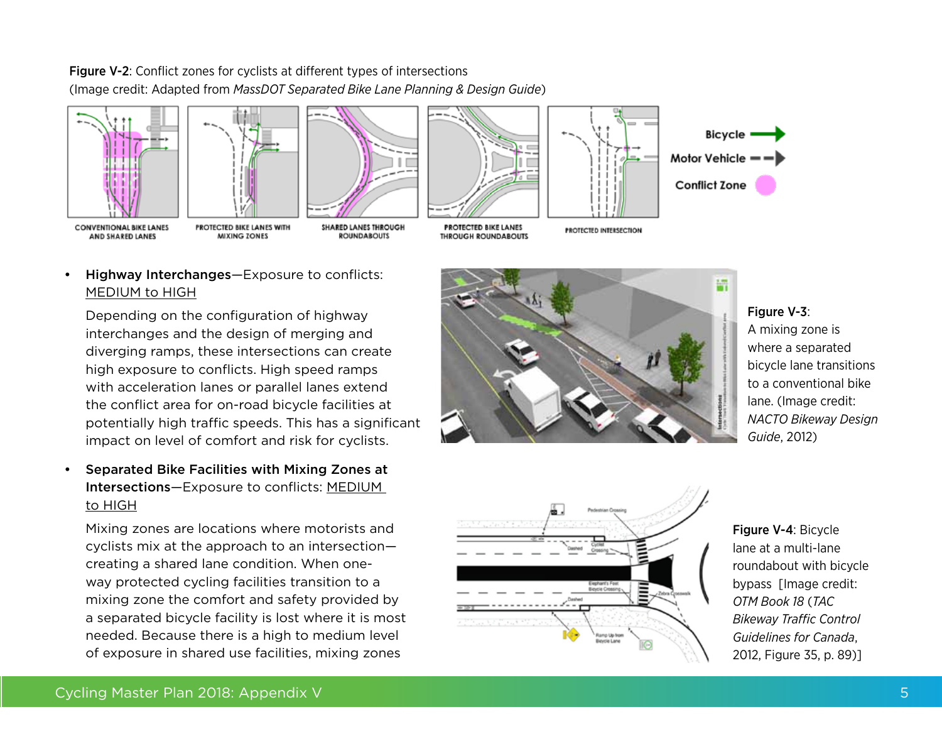







**ROUNDABOUTS** 







Highway Interchanges-Exposure to conflicts: MEDIUM to HIGH

**MIXING ZONES** 

Depending on the configuration of highway interchanges and the design of merging and diverging ramps, these intersections can create high exposure to conflicts. High speed ramps with acceleration lanes or parallel lanes extend the conflict area for on-road bicycle facilities at potentially high traffic speeds. This has a significant impact on level of comfort and risk for cyclists.

Separated Bike Facilities with Mixing Zones at Intersections—Exposure to conflicts: MEDIUM to HIGH

Mixing zones are locations where motorists and cyclists mix at the approach to an intersection creating a shared lane condition. When oneway protected cycling facilities transition to a mixing zone the comfort and safety provided by a separated bicycle facility is lost where it is most needed. Because there is a high to medium level of exposure in shared use facilities, mixing zones



### Figure V-3:

A mixing zone is where a separated bicycle lane transitions to a conventional bike lane. (Image credit: *NACTO Bikeway Design Guide*, 2012)



Figure V-4: Bicycle lane at a multi-lane roundabout with bicycle bypass [Image credit: *OTM Book 18* (*TAC Bikeway Traffic Control Guidelines for Canada*, 2012, Figure 35, p. 89)]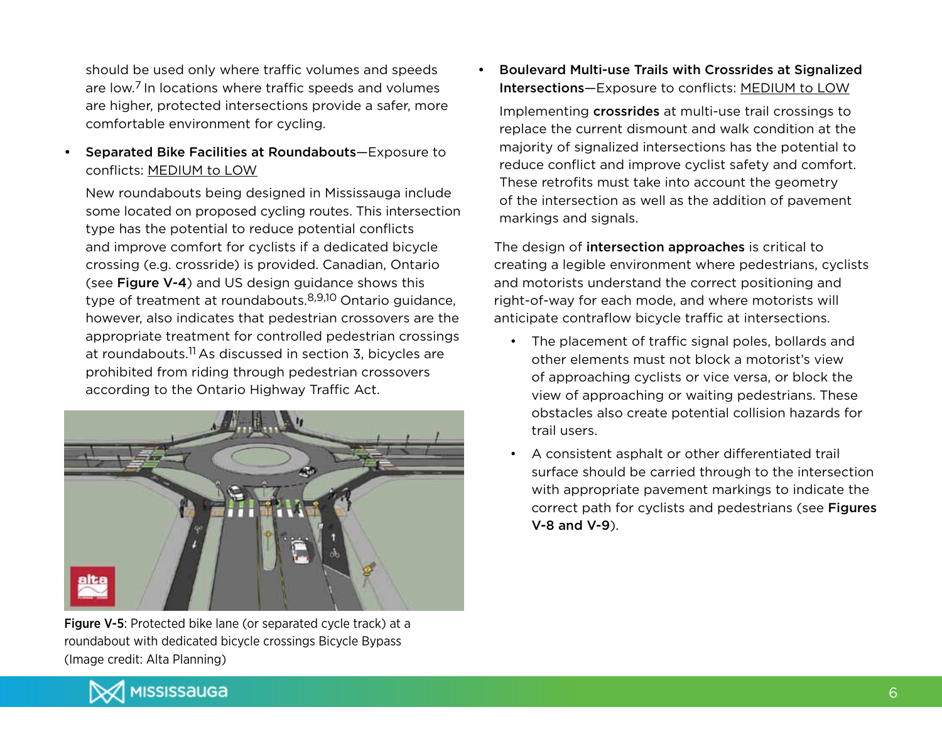should be used only where traffic volumes and speeds are low.7 In locations where traffic speeds and volumes are higher, protected intersections provide a safer, more comfortable environment for cycling.

• Separated Bike Facilities at Roundabouts—Exposure to conflicts: MEDIUM to LOW

New roundabouts being designed in Mississauga include some located on proposed cycling routes. This intersection type has the potential to reduce potential conflicts and improve comfort for cyclists if a dedicated bicycle crossing (e.g. crossride) is provided. Canadian, Ontario (see Figure V-4) and US design guidance shows this type of treatment at roundabouts.8,9,10 Ontario guidance, however, also indicates that pedestrian crossovers are the appropriate treatment for controlled pedestrian crossings at roundabouts.<sup>11</sup> As discussed in section 3, bicycles are prohibited from riding through pedestrian crossovers according to the Ontario Highway Traffic Act.



Figure V-5: Protected bike lane (or separated cycle track) at a roundabout with dedicated bicycle crossings Bicycle Bypass (Image credit: Alta Planning)

Boulevard Multi-use Trails with Crossrides at Signalized Intersections—Exposure to conflicts: MEDIUM to LOW

Implementing crossrides at multi-use trail crossings to replace the current dismount and walk condition at the majority of signalized intersections has the potential to reduce conflict and improve cyclist safety and comfort. These retrofits must take into account the geometry of the intersection as well as the addition of pavement markings and signals.

The design of intersection approaches is critical to creating a legible environment where pedestrians, cyclists and motorists understand the correct positioning and right-of-way for each mode, and where motorists will anticipate contraflow bicycle traffic at intersections.

- • The placement of traffic signal poles, bollards and other elements must not block a motorist's view of approaching cyclists or vice versa, or block the view of approaching or waiting pedestrians. These obstacles also create potential collision hazards for trail users.
- A consistent asphalt or other differentiated trail surface should be carried through to the intersection with appropriate pavement markings to indicate the correct path for cyclists and pedestrians (see Figures V-8 and V-9).

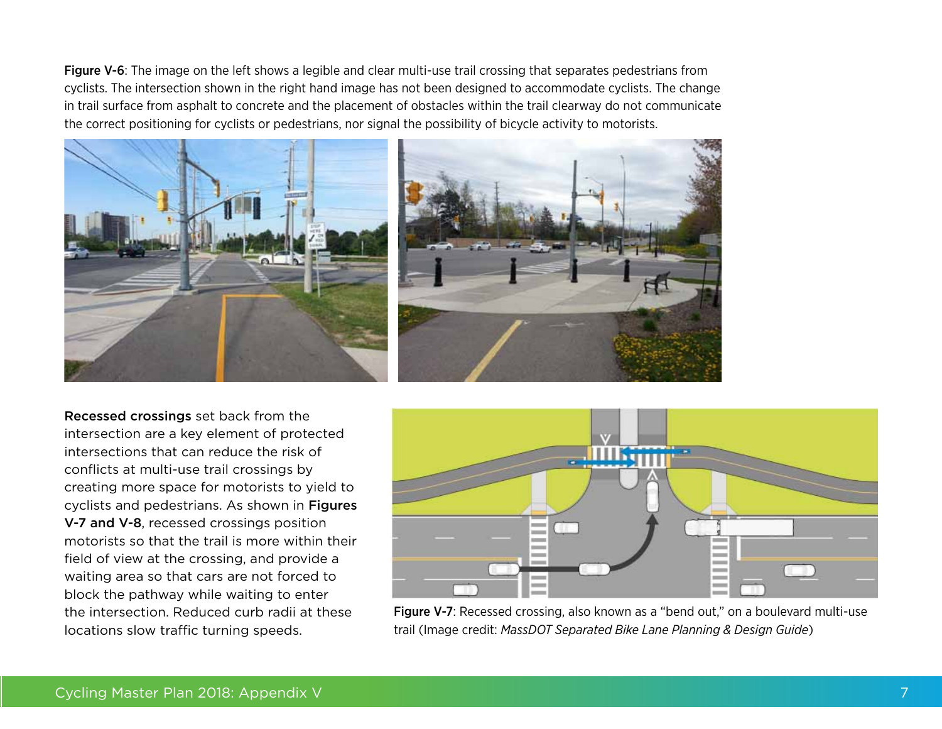Figure V-6: The image on the left shows a legible and clear multi-use trail crossing that separates pedestrians from cyclists. The intersection shown in the right hand image has not been designed to accommodate cyclists. The change in trail surface from asphalt to concrete and the placement of obstacles within the trail clearway do not communicate the correct positioning for cyclists or pedestrians, nor signal the possibility of bicycle activity to motorists.





Recessed crossings set back from the intersection are a key element of protected intersections that can reduce the risk of conflicts at multi-use trail crossings by creating more space for motorists to yield to cyclists and pedestrians. As shown in Figures V-7 and V-8, recessed crossings position motorists so that the trail is more within their field of view at the crossing, and provide a waiting area so that cars are not forced to block the pathway while waiting to enter the intersection. Reduced curb radii at these locations slow traffic turning speeds.



Figure V-7: Recessed crossing, also known as a "bend out," on a boulevard multi-use trail (Image credit: *MassDOT Separated Bike Lane Planning & Design Guide*)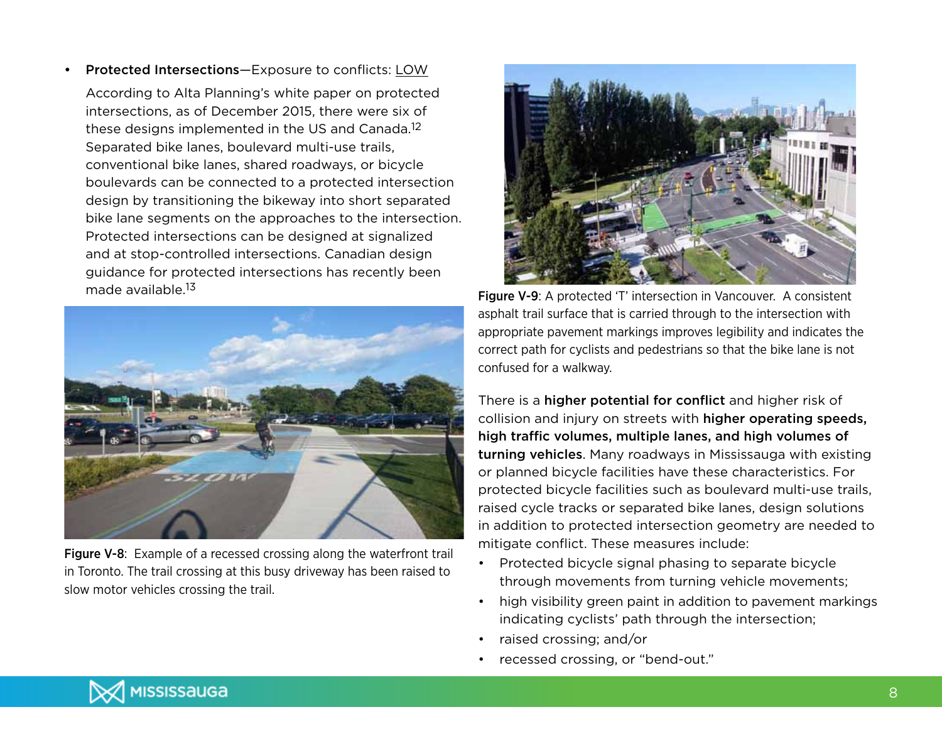Protected Intersections-Exposure to conflicts: LOW

According to Alta Planning's white paper on protected intersections, as of December 2015, there were six of these designs implemented in the US and Canada.<sup>12</sup> Separated bike lanes, boulevard multi-use trails, conventional bike lanes, shared roadways, or bicycle boulevards can be connected to a protected intersection design by transitioning the bikeway into short separated bike lane segments on the approaches to the intersection. Protected intersections can be designed at signalized and at stop-controlled intersections. Canadian design guidance for protected intersections has recently been made available.<sup>13</sup>



Figure V-8: Example of a recessed crossing along the waterfront trail in Toronto. The trail crossing at this busy driveway has been raised to slow motor vehicles crossing the trail.



Figure V-9: A protected 'T' intersection in Vancouver. A consistent asphalt trail surface that is carried through to the intersection with appropriate pavement markings improves legibility and indicates the correct path for cyclists and pedestrians so that the bike lane is not confused for a walkway.

There is a higher potential for conflict and higher risk of collision and injury on streets with higher operating speeds, high traffic volumes, multiple lanes, and high volumes of turning vehicles. Many roadways in Mississauga with existing or planned bicycle facilities have these characteristics. For protected bicycle facilities such as boulevard multi-use trails, raised cycle tracks or separated bike lanes, design solutions in addition to protected intersection geometry are needed to mitigate conflict. These measures include:

- Protected bicycle signal phasing to separate bicycle through movements from turning vehicle movements;
- high visibility green paint in addition to pavement markings indicating cyclists' path through the intersection;
- raised crossing; and/or
- • recessed crossing, or "bend-out."

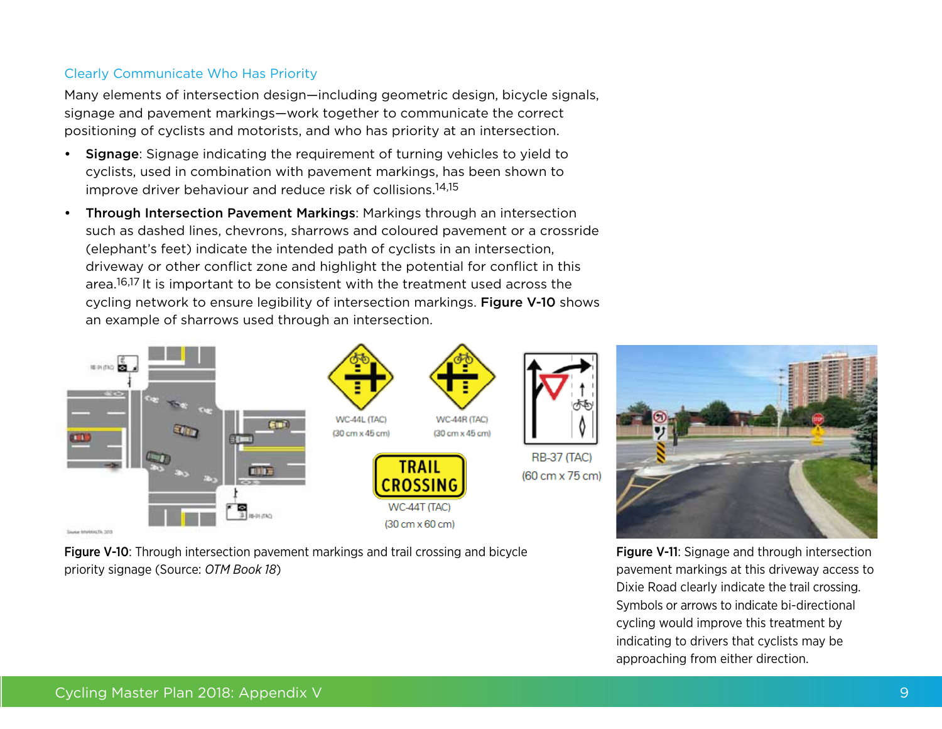## Clearly Communicate Who Has Priority

Many elements of intersection design—including geometric design, bicycle signals, signage and pavement markings—work together to communicate the correct positioning of cyclists and motorists, and who has priority at an intersection.

- Signage: Signage indicating the requirement of turning vehicles to yield to cyclists, used in combination with pavement markings, has been shown to improve driver behaviour and reduce risk of collisions.14,15
- Through Intersection Pavement Markings: Markings through an intersection such as dashed lines, chevrons, sharrows and coloured pavement or a crossride (elephant's feet) indicate the intended path of cyclists in an intersection, driveway or other conflict zone and highlight the potential for conflict in this area.<sup>16,17</sup> It is important to be consistent with the treatment used across the cycling network to ensure legibility of intersection markings. Figure V-10 shows an example of sharrows used through an intersection.



Figure V-10: Through intersection pavement markings and trail crossing and bicycle priority signage (Source: *OTM Book 18*)

Figure V-11: Signage and through intersection pavement markings at this driveway access to Dixie Road clearly indicate the trail crossing. Symbols or arrows to indicate bi-directional cycling would improve this treatment by indicating to drivers that cyclists may be approaching from either direction.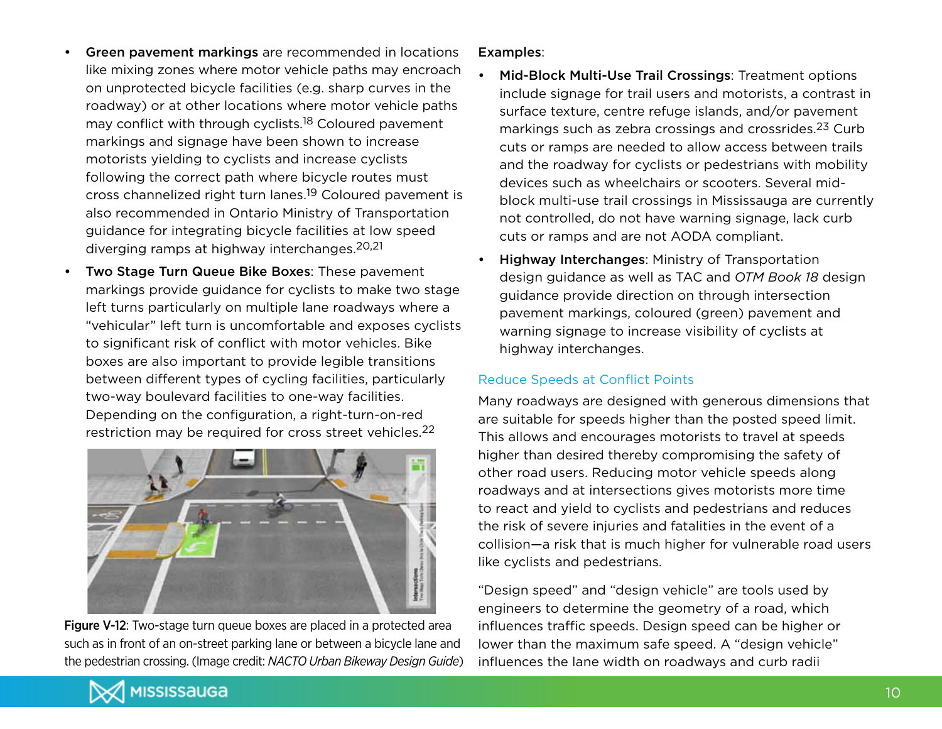- Green pavement markings are recommended in locations like mixing zones where motor vehicle paths may encroach on unprotected bicycle facilities (e.g. sharp curves in the roadway) or at other locations where motor vehicle paths may conflict with through cyclists.<sup>18</sup> Coloured pavement markings and signage have been shown to increase motorists yielding to cyclists and increase cyclists following the correct path where bicycle routes must cross channelized right turn lanes.19 Coloured pavement is also recommended in Ontario Ministry of Transportation guidance for integrating bicycle facilities at low speed diverging ramps at highway interchanges.20,21
- Two Stage Turn Queue Bike Boxes: These pavement markings provide guidance for cyclists to make two stage left turns particularly on multiple lane roadways where a "vehicular" left turn is uncomfortable and exposes cyclists to significant risk of conflict with motor vehicles. Bike boxes are also important to provide legible transitions between different types of cycling facilities, particularly two-way boulevard facilities to one-way facilities. Depending on the configuration, a right-turn-on-red restriction may be required for cross street vehicles.<sup>22</sup>



Figure V-12: Two-stage turn queue boxes are placed in a protected area such as in front of an on-street parking lane or between a bicycle lane and the pedestrian crossing. (Image credit: *NACTO Urban Bikeway Design Guide*)

## Examples:

- Mid-Block Multi-Use Trail Crossings: Treatment options include signage for trail users and motorists, a contrast in surface texture, centre refuge islands, and/or pavement markings such as zebra crossings and crossrides.23 Curb cuts or ramps are needed to allow access between trails and the roadway for cyclists or pedestrians with mobility devices such as wheelchairs or scooters. Several midblock multi-use trail crossings in Mississauga are currently not controlled, do not have warning signage, lack curb cuts or ramps and are not AODA compliant.
- **Highway Interchanges: Ministry of Transportation** design guidance as well as TAC and *OTM Book 18* design guidance provide direction on through intersection pavement markings, coloured (green) pavement and warning signage to increase visibility of cyclists at highway interchanges.

## Reduce Speeds at Conflict Points

Many roadways are designed with generous dimensions that are suitable for speeds higher than the posted speed limit. This allows and encourages motorists to travel at speeds higher than desired thereby compromising the safety of other road users. Reducing motor vehicle speeds along roadways and at intersections gives motorists more time to react and yield to cyclists and pedestrians and reduces the risk of severe injuries and fatalities in the event of a collision—a risk that is much higher for vulnerable road users like cyclists and pedestrians.

"Design speed" and "design vehicle" are tools used by engineers to determine the geometry of a road, which influences traffic speeds. Design speed can be higher or lower than the maximum safe speed. A "design vehicle" influences the lane width on roadways and curb radii

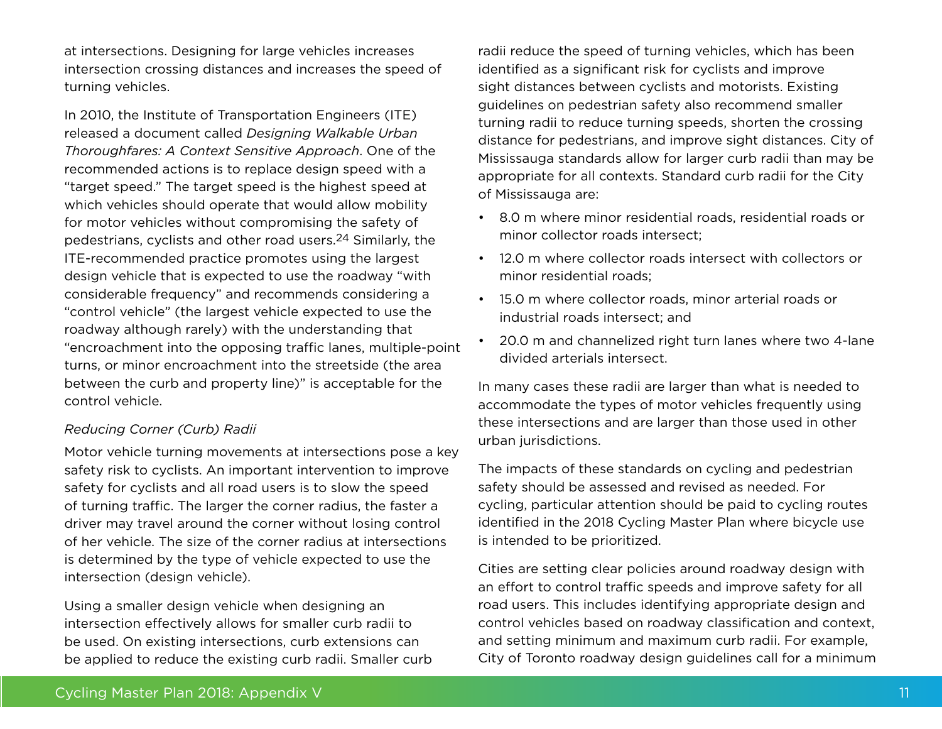at intersections. Designing for large vehicles increases intersection crossing distances and increases the speed of turning vehicles.

In 2010, the Institute of Transportation Engineers (ITE) released a document called *Designing Walkable Urban Thoroughfares: A Context Sensitive Approach*. One of the recommended actions is to replace design speed with a "target speed." The target speed is the highest speed at which vehicles should operate that would allow mobility for motor vehicles without compromising the safety of pedestrians, cyclists and other road users.24 Similarly, the ITE-recommended practice promotes using the largest design vehicle that is expected to use the roadway "with considerable frequency" and recommends considering a "control vehicle" (the largest vehicle expected to use the roadway although rarely) with the understanding that "encroachment into the opposing traffic lanes, multiple-point turns, or minor encroachment into the streetside (the area between the curb and property line)" is acceptable for the control vehicle.

### *Reducing Corner (Curb) Radii*

Motor vehicle turning movements at intersections pose a key safety risk to cyclists. An important intervention to improve safety for cyclists and all road users is to slow the speed of turning traffic. The larger the corner radius, the faster a driver may travel around the corner without losing control of her vehicle. The size of the corner radius at intersections is determined by the type of vehicle expected to use the intersection (design vehicle).

Using a smaller design vehicle when designing an intersection effectively allows for smaller curb radii to be used. On existing intersections, curb extensions can be applied to reduce the existing curb radii. Smaller curb

radii reduce the speed of turning vehicles, which has been identified as a significant risk for cyclists and improve sight distances between cyclists and motorists. Existing guidelines on pedestrian safety also recommend smaller turning radii to reduce turning speeds, shorten the crossing distance for pedestrians, and improve sight distances. City of Mississauga standards allow for larger curb radii than may be appropriate for all contexts. Standard curb radii for the City of Mississauga are:

- • 8.0 m where minor residential roads, residential roads or minor collector roads intersect;
- • 12.0 m where collector roads intersect with collectors or minor residential roads;
- • 15.0 m where collector roads, minor arterial roads or industrial roads intersect; and
- 20.0 m and channelized right turn lanes where two 4-lane divided arterials intersect.

In many cases these radii are larger than what is needed to accommodate the types of motor vehicles frequently using these intersections and are larger than those used in other urban jurisdictions.

The impacts of these standards on cycling and pedestrian safety should be assessed and revised as needed. For cycling, particular attention should be paid to cycling routes identified in the 2018 Cycling Master Plan where bicycle use is intended to be prioritized.

Cities are setting clear policies around roadway design with an effort to control traffic speeds and improve safety for all road users. This includes identifying appropriate design and control vehicles based on roadway classification and context, and setting minimum and maximum curb radii. For example, City of Toronto roadway design guidelines call for a minimum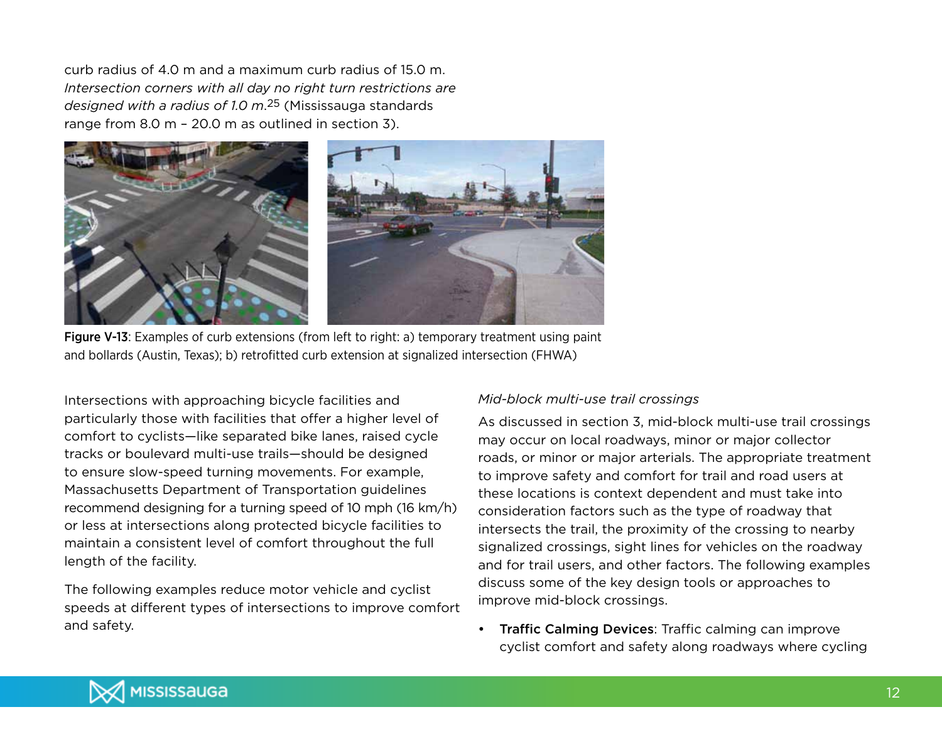curb radius of 4.0 m and a maximum curb radius of 15.0 m. *Intersection corners with all day no right turn restrictions are designed with a radius of 1.0 m*. 25 (Mississauga standards range from 8.0 m – 20.0 m as outlined in section 3).



Figure V-13: Examples of curb extensions (from left to right: a) temporary treatment using paint and bollards (Austin, Texas); b) retrofitted curb extension at signalized intersection (FHWA)

Intersections with approaching bicycle facilities and particularly those with facilities that offer a higher level of comfort to cyclists—like separated bike lanes, raised cycle tracks or boulevard multi-use trails—should be designed to ensure slow-speed turning movements. For example, Massachusetts Department of Transportation guidelines recommend designing for a turning speed of 10 mph (16 km/h) or less at intersections along protected bicycle facilities to maintain a consistent level of comfort throughout the full length of the facility.

The following examples reduce motor vehicle and cyclist speeds at different types of intersections to improve comfort and safety.

#### *Mid-block multi-use trail crossings*

As discussed in section 3, mid-block multi-use trail crossings may occur on local roadways, minor or major collector roads, or minor or major arterials. The appropriate treatment to improve safety and comfort for trail and road users at these locations is context dependent and must take into consideration factors such as the type of roadway that intersects the trail, the proximity of the crossing to nearby signalized crossings, sight lines for vehicles on the roadway and for trail users, and other factors. The following examples discuss some of the key design tools or approaches to improve mid-block crossings.

• Traffic Calming Devices: Traffic calming can improve cyclist comfort and safety along roadways where cycling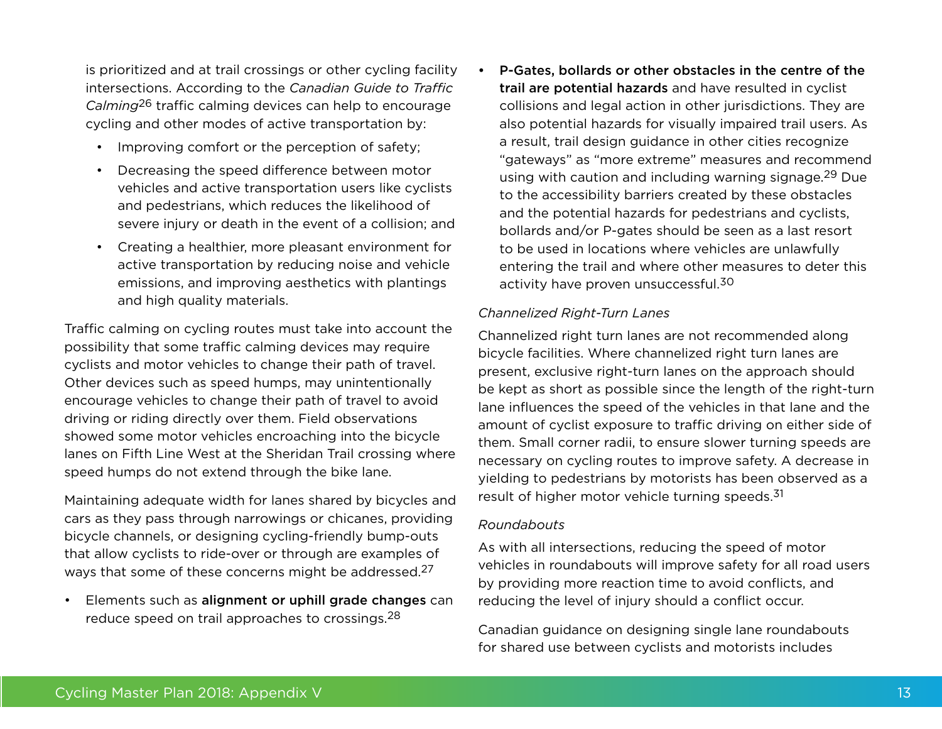is prioritized and at trail crossings or other cycling facility intersections. According to the *Canadian Guide to Traffic Calming*26 traffic calming devices can help to encourage cycling and other modes of active transportation by:

- Improving comfort or the perception of safety;
- Decreasing the speed difference between motor vehicles and active transportation users like cyclists and pedestrians, which reduces the likelihood of severe injury or death in the event of a collision; and
- • Creating a healthier, more pleasant environment for active transportation by reducing noise and vehicle emissions, and improving aesthetics with plantings and high quality materials.

Traffic calming on cycling routes must take into account the possibility that some traffic calming devices may require cyclists and motor vehicles to change their path of travel. Other devices such as speed humps, may unintentionally encourage vehicles to change their path of travel to avoid driving or riding directly over them. Field observations showed some motor vehicles encroaching into the bicycle lanes on Fifth Line West at the Sheridan Trail crossing where speed humps do not extend through the bike lane.

Maintaining adequate width for lanes shared by bicycles and cars as they pass through narrowings or chicanes, providing bicycle channels, or designing cycling-friendly bump-outs that allow cyclists to ride-over or through are examples of ways that some of these concerns might be addressed.<sup>27</sup>

• Elements such as alignment or uphill grade changes can reduce speed on trail approaches to crossings.28

P-Gates, bollards or other obstacles in the centre of the trail are potential hazards and have resulted in cyclist collisions and legal action in other jurisdictions. They are also potential hazards for visually impaired trail users. As a result, trail design guidance in other cities recognize "gateways" as "more extreme" measures and recommend using with caution and including warning signage.29 Due to the accessibility barriers created by these obstacles and the potential hazards for pedestrians and cyclists, bollards and/or P-gates should be seen as a last resort to be used in locations where vehicles are unlawfully entering the trail and where other measures to deter this activity have proven unsuccessful.<sup>30</sup>

## *Channelized Right-Turn Lanes*

Channelized right turn lanes are not recommended along bicycle facilities. Where channelized right turn lanes are present, exclusive right-turn lanes on the approach should be kept as short as possible since the length of the right-turn lane influences the speed of the vehicles in that lane and the amount of cyclist exposure to traffic driving on either side of them. Small corner radii, to ensure slower turning speeds are necessary on cycling routes to improve safety. A decrease in yielding to pedestrians by motorists has been observed as a result of higher motor vehicle turning speeds.<sup>31</sup>

#### *Roundabouts*

As with all intersections, reducing the speed of motor vehicles in roundabouts will improve safety for all road users by providing more reaction time to avoid conflicts, and reducing the level of injury should a conflict occur.

Canadian guidance on designing single lane roundabouts for shared use between cyclists and motorists includes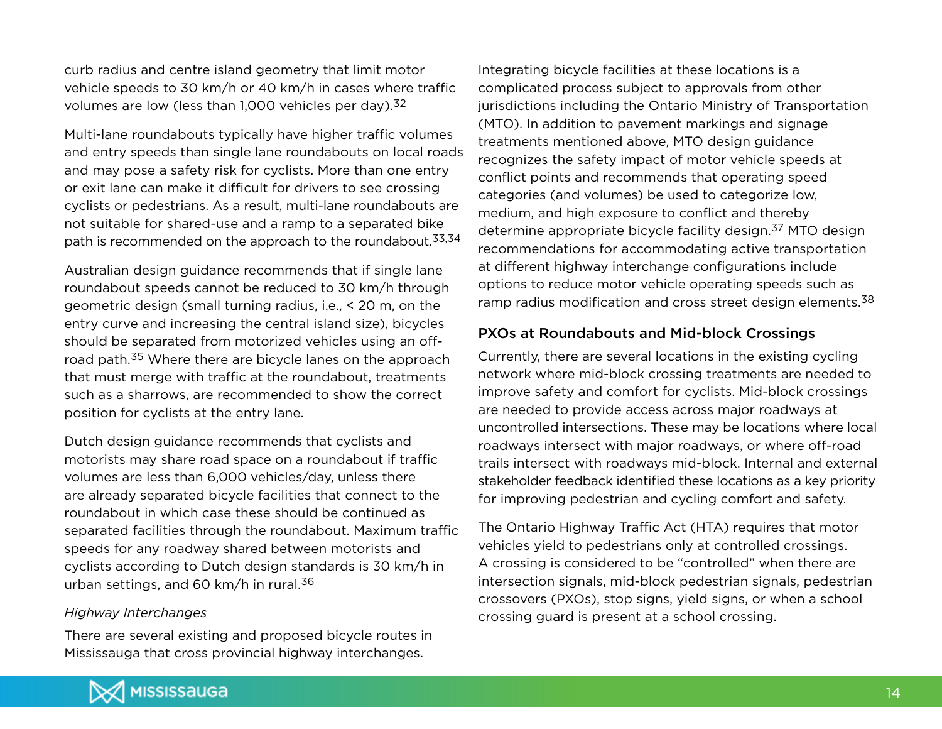curb radius and centre island geometry that limit motor vehicle speeds to 30 km/h or 40 km/h in cases where traffic volumes are low (less than 1,000 vehicles per day). $32$ 

Multi-lane roundabouts typically have higher traffic volumes and entry speeds than single lane roundabouts on local roads and may pose a safety risk for cyclists. More than one entry or exit lane can make it difficult for drivers to see crossing cyclists or pedestrians. As a result, multi-lane roundabouts are not suitable for shared-use and a ramp to a separated bike path is recommended on the approach to the roundabout.<sup>33,34</sup>

Australian design guidance recommends that if single lane roundabout speeds cannot be reduced to 30 km/h through geometric design (small turning radius, i.e., < 20 m, on the entry curve and increasing the central island size), bicycles should be separated from motorized vehicles using an offroad path.35 Where there are bicycle lanes on the approach that must merge with traffic at the roundabout, treatments such as a sharrows, are recommended to show the correct position for cyclists at the entry lane.

Dutch design guidance recommends that cyclists and motorists may share road space on a roundabout if traffic volumes are less than 6,000 vehicles/day, unless there are already separated bicycle facilities that connect to the roundabout in which case these should be continued as separated facilities through the roundabout. Maximum traffic speeds for any roadway shared between motorists and cyclists according to Dutch design standards is 30 km/h in urban settings, and 60 km/h in rural.<sup>36</sup>

#### *Highway Interchanges*

There are several existing and proposed bicycle routes in Mississauga that cross provincial highway interchanges.

Integrating bicycle facilities at these locations is a complicated process subject to approvals from other jurisdictions including the Ontario Ministry of Transportation (MTO). In addition to pavement markings and signage treatments mentioned above, MTO design guidance recognizes the safety impact of motor vehicle speeds at conflict points and recommends that operating speed categories (and volumes) be used to categorize low, medium, and high exposure to conflict and thereby determine appropriate bicycle facility design.<sup>37</sup> MTO design recommendations for accommodating active transportation at different highway interchange configurations include options to reduce motor vehicle operating speeds such as ramp radius modification and cross street design elements.<sup>38</sup>

## PXOs at Roundabouts and Mid-block Crossings

Currently, there are several locations in the existing cycling network where mid-block crossing treatments are needed to improve safety and comfort for cyclists. Mid-block crossings are needed to provide access across major roadways at uncontrolled intersections. These may be locations where local roadways intersect with major roadways, or where off-road trails intersect with roadways mid-block. Internal and external stakeholder feedback identified these locations as a key priority for improving pedestrian and cycling comfort and safety.

The Ontario Highway Traffic Act (HTA) requires that motor vehicles yield to pedestrians only at controlled crossings. A crossing is considered to be "controlled" when there are intersection signals, mid-block pedestrian signals, pedestrian crossovers (PXOs), stop signs, yield signs, or when a school crossing guard is present at a school crossing.

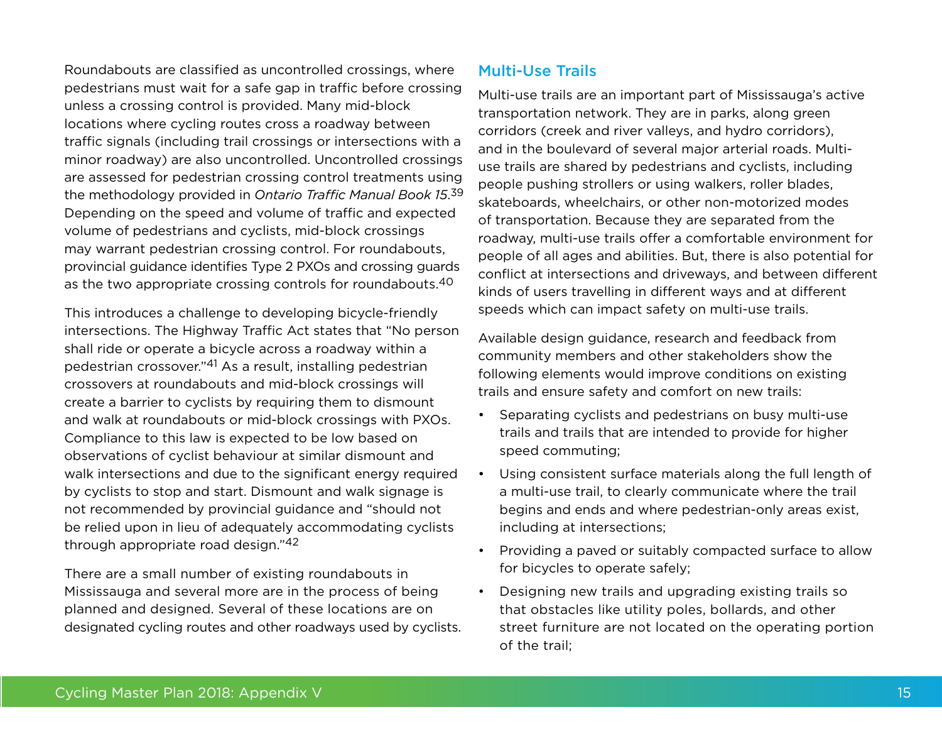Roundabouts are classified as uncontrolled crossings, where pedestrians must wait for a safe gap in traffic before crossing unless a crossing control is provided. Many mid-block locations where cycling routes cross a roadway between traffic signals (including trail crossings or intersections with a minor roadway) are also uncontrolled. Uncontrolled crossings are assessed for pedestrian crossing control treatments using the methodology provided in *Ontario Traffic Manual Book 15*. 39 Depending on the speed and volume of traffic and expected volume of pedestrians and cyclists, mid-block crossings may warrant pedestrian crossing control. For roundabouts, provincial guidance identifies Type 2 PXOs and crossing guards as the two appropriate crossing controls for roundabouts.<sup>40</sup>

This introduces a challenge to developing bicycle-friendly intersections. The Highway Traffic Act states that "No person shall ride or operate a bicycle across a roadway within a pedestrian crossover."41 As a result, installing pedestrian crossovers at roundabouts and mid-block crossings will create a barrier to cyclists by requiring them to dismount and walk at roundabouts or mid-block crossings with PXOs. Compliance to this law is expected to be low based on observations of cyclist behaviour at similar dismount and walk intersections and due to the significant energy required by cyclists to stop and start. Dismount and walk signage is not recommended by provincial guidance and "should not be relied upon in lieu of adequately accommodating cyclists through appropriate road design."42

There are a small number of existing roundabouts in Mississauga and several more are in the process of being planned and designed. Several of these locations are on designated cycling routes and other roadways used by cyclists.

## Multi-Use Trails

Multi-use trails are an important part of Mississauga's active transportation network. They are in parks, along green corridors (creek and river valleys, and hydro corridors), and in the boulevard of several major arterial roads. Multiuse trails are shared by pedestrians and cyclists, including people pushing strollers or using walkers, roller blades, skateboards, wheelchairs, or other non-motorized modes of transportation. Because they are separated from the roadway, multi-use trails offer a comfortable environment for people of all ages and abilities. But, there is also potential for conflict at intersections and driveways, and between different kinds of users travelling in different ways and at different speeds which can impact safety on multi-use trails.

Available design guidance, research and feedback from community members and other stakeholders show the following elements would improve conditions on existing trails and ensure safety and comfort on new trails:

- • Separating cyclists and pedestrians on busy multi-use trails and trails that are intended to provide for higher speed commuting;
- • Using consistent surface materials along the full length of a multi-use trail, to clearly communicate where the trail begins and ends and where pedestrian-only areas exist, including at intersections;
- Providing a paved or suitably compacted surface to allow for bicycles to operate safely;
- Designing new trails and upgrading existing trails so that obstacles like utility poles, bollards, and other street furniture are not located on the operating portion of the trail;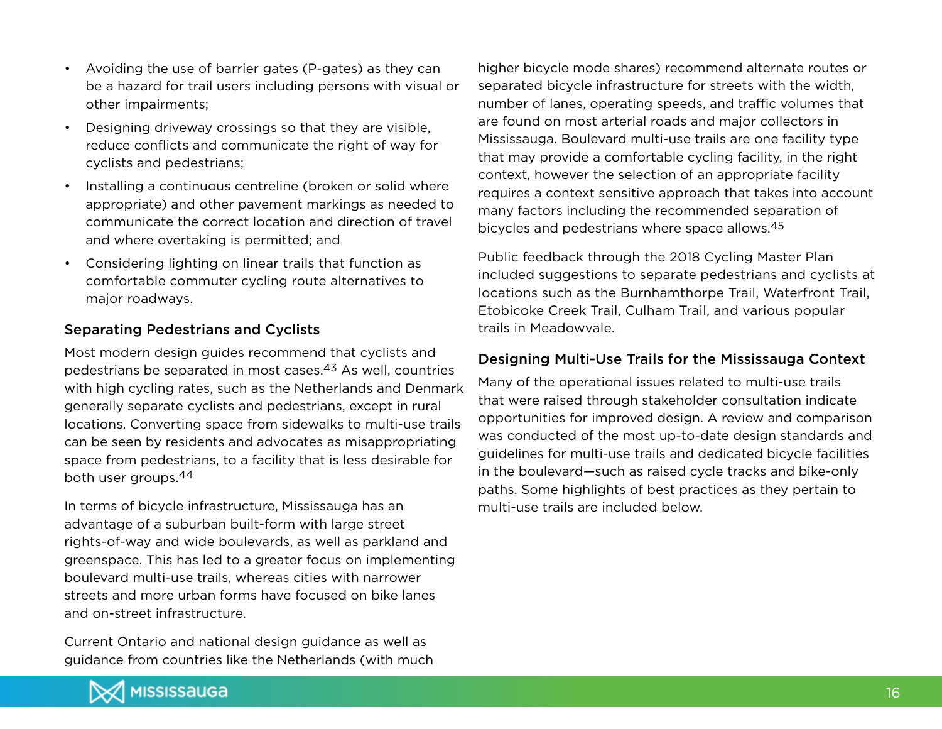- • Avoiding the use of barrier gates (P-gates) as they can be a hazard for trail users including persons with visual or other impairments;
- • Designing driveway crossings so that they are visible, reduce conflicts and communicate the right of way for cyclists and pedestrians;
- Installing a continuous centreline (broken or solid where appropriate) and other pavement markings as needed to communicate the correct location and direction of travel and where overtaking is permitted; and
- • Considering lighting on linear trails that function as comfortable commuter cycling route alternatives to major roadways.

## Separating Pedestrians and Cyclists

Most modern design guides recommend that cyclists and pedestrians be separated in most cases.43 As well, countries with high cycling rates, such as the Netherlands and Denmark generally separate cyclists and pedestrians, except in rural locations. Converting space from sidewalks to multi-use trails can be seen by residents and advocates as misappropriating space from pedestrians, to a facility that is less desirable for both user groups.44

In terms of bicycle infrastructure, Mississauga has an advantage of a suburban built-form with large street rights-of-way and wide boulevards, as well as parkland and greenspace. This has led to a greater focus on implementing boulevard multi-use trails, whereas cities with narrower streets and more urban forms have focused on bike lanes and on-street infrastructure.

Current Ontario and national design guidance as well as guidance from countries like the Netherlands (with much higher bicycle mode shares) recommend alternate routes or separated bicycle infrastructure for streets with the width, number of lanes, operating speeds, and traffic volumes that are found on most arterial roads and major collectors in Mississauga. Boulevard multi-use trails are one facility type that may provide a comfortable cycling facility, in the right context, however the selection of an appropriate facility requires a context sensitive approach that takes into account many factors including the recommended separation of bicycles and pedestrians where space allows.45

Public feedback through the 2018 Cycling Master Plan included suggestions to separate pedestrians and cyclists at locations such as the Burnhamthorpe Trail, Waterfront Trail, Etobicoke Creek Trail, Culham Trail, and various popular trails in Meadowvale.

## Designing Multi-Use Trails for the Mississauga Context

Many of the operational issues related to multi-use trails that were raised through stakeholder consultation indicate opportunities for improved design. A review and comparison was conducted of the most up-to-date design standards and guidelines for multi-use trails and dedicated bicycle facilities in the boulevard—such as raised cycle tracks and bike-only paths. Some highlights of best practices as they pertain to multi-use trails are included below.

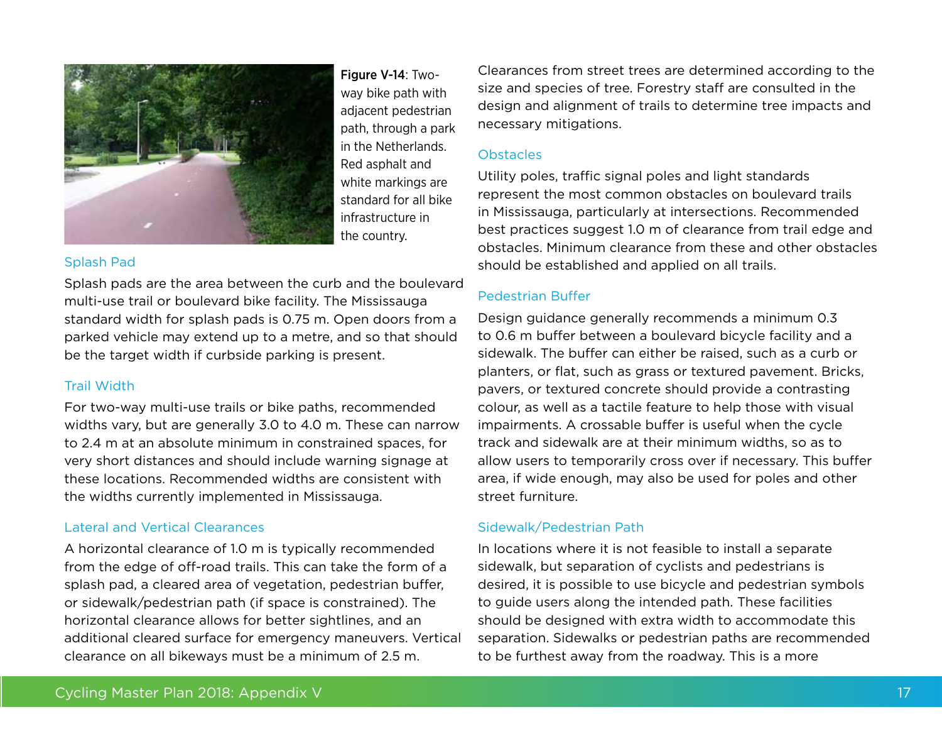

Figure V-14: Twoway bike path with adjacent pedestrian path, through a park in the Netherlands. Red asphalt and white markings are standard for all bike infrastructure in the country.

### Splash Pad

Splash pads are the area between the curb and the boulevard multi-use trail or boulevard bike facility. The Mississauga standard width for splash pads is 0.75 m. Open doors from a parked vehicle may extend up to a metre, and so that should be the target width if curbside parking is present.

### Trail Width

For two-way multi-use trails or bike paths, recommended widths vary, but are generally 3.0 to 4.0 m. These can narrow to 2.4 m at an absolute minimum in constrained spaces, for very short distances and should include warning signage at these locations. Recommended widths are consistent with the widths currently implemented in Mississauga.

### Lateral and Vertical Clearances

A horizontal clearance of 1.0 m is typically recommended from the edge of off-road trails. This can take the form of a splash pad, a cleared area of vegetation, pedestrian buffer, or sidewalk/pedestrian path (if space is constrained). The horizontal clearance allows for better sightlines, and an additional cleared surface for emergency maneuvers. Vertical clearance on all bikeways must be a minimum of 2.5 m.

Clearances from street trees are determined according to the size and species of tree. Forestry staff are consulted in the design and alignment of trails to determine tree impacts and necessary mitigations.

#### **Obstacles**

Utility poles, traffic signal poles and light standards represent the most common obstacles on boulevard trails in Mississauga, particularly at intersections. Recommended best practices suggest 1.0 m of clearance from trail edge and obstacles. Minimum clearance from these and other obstacles should be established and applied on all trails.

## Pedestrian Buffer

Design guidance generally recommends a minimum 0.3 to 0.6 m buffer between a boulevard bicycle facility and a sidewalk. The buffer can either be raised, such as a curb or planters, or flat, such as grass or textured pavement. Bricks, pavers, or textured concrete should provide a contrasting colour, as well as a tactile feature to help those with visual impairments. A crossable buffer is useful when the cycle track and sidewalk are at their minimum widths, so as to allow users to temporarily cross over if necessary. This buffer area, if wide enough, may also be used for poles and other street furniture.

### Sidewalk/Pedestrian Path

In locations where it is not feasible to install a separate sidewalk, but separation of cyclists and pedestrians is desired, it is possible to use bicycle and pedestrian symbols to guide users along the intended path. These facilities should be designed with extra width to accommodate this separation. Sidewalks or pedestrian paths are recommended to be furthest away from the roadway. This is a more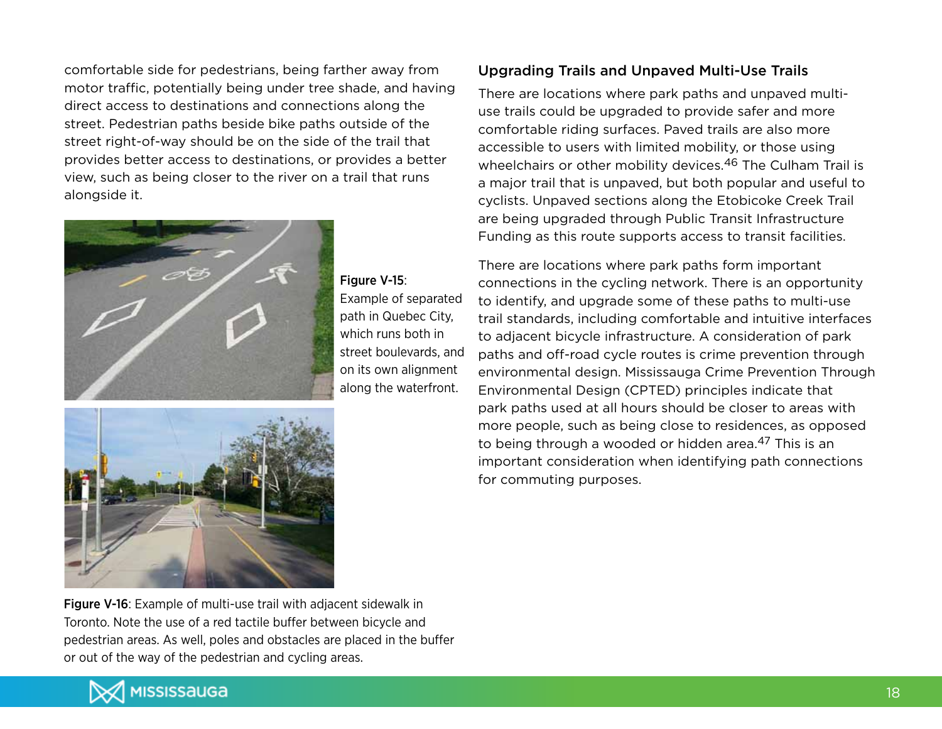comfortable side for pedestrians, being farther away from motor traffic, potentially being under tree shade, and having direct access to destinations and connections along the street. Pedestrian paths beside bike paths outside of the street right-of-way should be on the side of the trail that provides better access to destinations, or provides a better view, such as being closer to the river on a trail that runs alongside it.



Figure V-15: Example of separated

path in Quebec City, which runs both in street boulevards, and on its own alignment along the waterfront.



Figure V-16: Example of multi-use trail with adjacent sidewalk in Toronto. Note the use of a red tactile buffer between bicycle and pedestrian areas. As well, poles and obstacles are placed in the buffer or out of the way of the pedestrian and cycling areas.

## Upgrading Trails and Unpaved Multi-Use Trails

There are locations where park paths and unpaved multiuse trails could be upgraded to provide safer and more comfortable riding surfaces. Paved trails are also more accessible to users with limited mobility, or those using wheelchairs or other mobility devices.<sup>46</sup> The Culham Trail is a major trail that is unpaved, but both popular and useful to cyclists. Unpaved sections along the Etobicoke Creek Trail are being upgraded through Public Transit Infrastructure Funding as this route supports access to transit facilities.

There are locations where park paths form important connections in the cycling network. There is an opportunity to identify, and upgrade some of these paths to multi-use trail standards, including comfortable and intuitive interfaces to adjacent bicycle infrastructure. A consideration of park paths and off-road cycle routes is crime prevention through environmental design. Mississauga Crime Prevention Through Environmental Design (CPTED) principles indicate that park paths used at all hours should be closer to areas with more people, such as being close to residences, as opposed to being through a wooded or hidden area.<sup>47</sup> This is an important consideration when identifying path connections for commuting purposes.

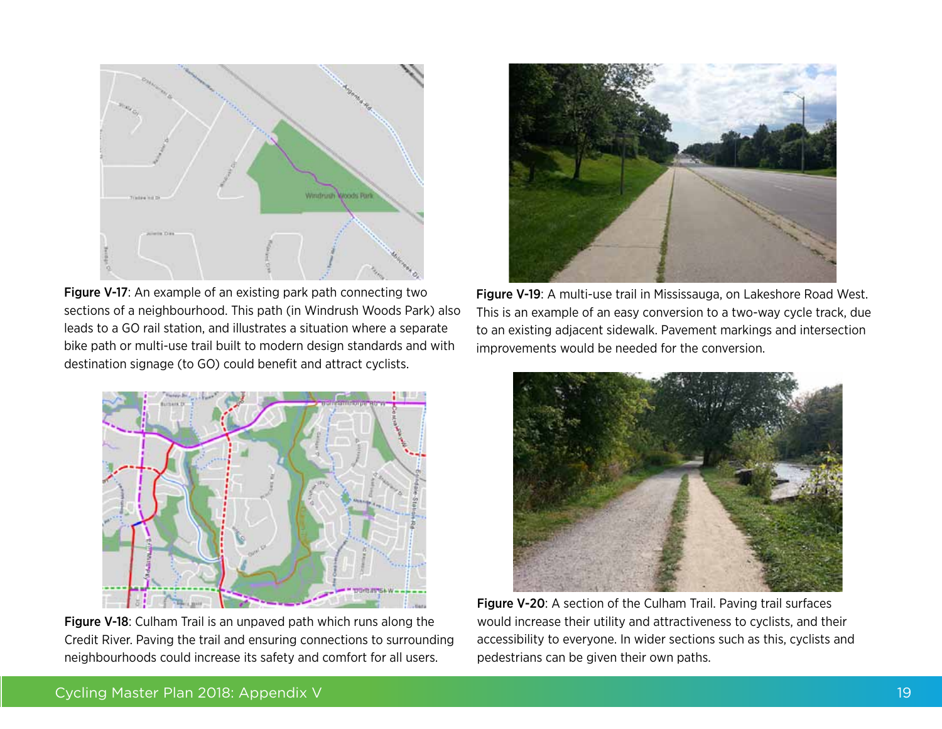

Figure V-17: An example of an existing park path connecting two sections of a neighbourhood. This path (in Windrush Woods Park) also leads to a GO rail station, and illustrates a situation where a separate bike path or multi-use trail built to modern design standards and with destination signage (to GO) could benefit and attract cyclists.



Figure V-18: Culham Trail is an unpaved path which runs along the Credit River. Paving the trail and ensuring connections to surrounding neighbourhoods could increase its safety and comfort for all users.



Figure V-19: A multi-use trail in Mississauga, on Lakeshore Road West. This is an example of an easy conversion to a two-way cycle track, due to an existing adjacent sidewalk. Pavement markings and intersection improvements would be needed for the conversion.



Figure V-20: A section of the Culham Trail. Paving trail surfaces would increase their utility and attractiveness to cyclists, and their accessibility to everyone. In wider sections such as this, cyclists and pedestrians can be given their own paths.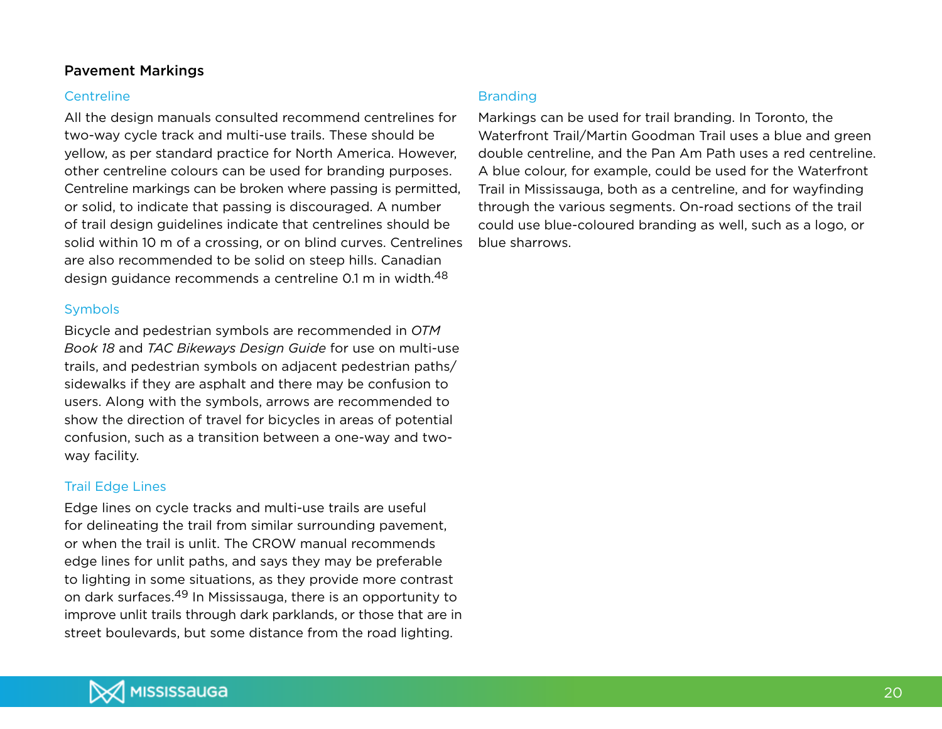## Pavement Markings

#### **Centreline**

All the design manuals consulted recommend centrelines for two-way cycle track and multi-use trails. These should be yellow, as per standard practice for North America. However, other centreline colours can be used for branding purposes. Centreline markings can be broken where passing is permitted, or solid, to indicate that passing is discouraged. A number of trail design guidelines indicate that centrelines should be solid within 10 m of a crossing, or on blind curves. Centrelines are also recommended to be solid on steep hills. Canadian design guidance recommends a centreline 0.1 m in width.48

#### Symbols

Bicycle and pedestrian symbols are recommended in *OTM Book 18* and *TAC Bikeways Design Guide* for use on multi-use trails, and pedestrian symbols on adjacent pedestrian paths/ sidewalks if they are asphalt and there may be confusion to users. Along with the symbols, arrows are recommended to show the direction of travel for bicycles in areas of potential confusion, such as a transition between a one-way and twoway facility.

#### Trail Edge Lines

Edge lines on cycle tracks and multi-use trails are useful for delineating the trail from similar surrounding pavement, or when the trail is unlit. The CROW manual recommends edge lines for unlit paths, and says they may be preferable to lighting in some situations, as they provide more contrast on dark surfaces.49 In Mississauga, there is an opportunity to improve unlit trails through dark parklands, or those that are in street boulevards, but some distance from the road lighting.

#### Branding

Markings can be used for trail branding. In Toronto, the Waterfront Trail/Martin Goodman Trail uses a blue and green double centreline, and the Pan Am Path uses a red centreline. A blue colour, for example, could be used for the Waterfront Trail in Mississauga, both as a centreline, and for wayfinding through the various segments. On-road sections of the trail could use blue-coloured branding as well, such as a logo, or blue sharrows.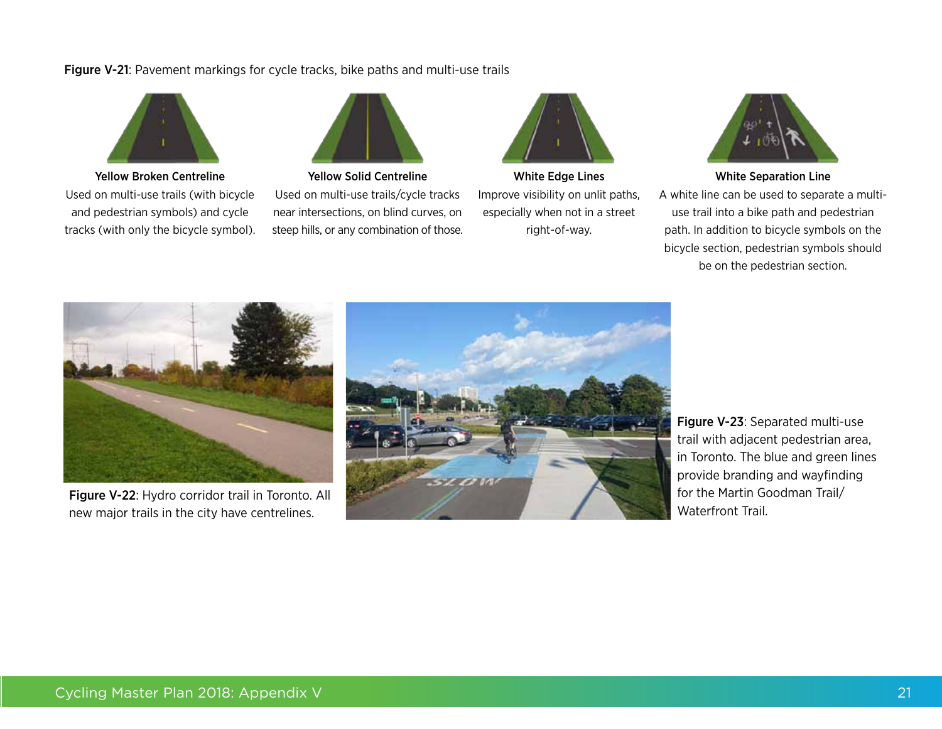#### Figure V-21: Pavement markings for cycle tracks, bike paths and multi-use trails



Yellow Broken Centreline Used on multi-use trails (with bicycle and pedestrian symbols) and cycle tracks (with only the bicycle symbol).



Yellow Solid Centreline Used on multi-use trails/cycle tracks near intersections, on blind curves, on steep hills, or any combination of those.



White Edge Lines Improve visibility on unlit paths, especially when not in a street right-of-way.



White Separation Line

A white line can be used to separate a multiuse trail into a bike path and pedestrian path. In addition to bicycle symbols on the bicycle section, pedestrian symbols should be on the pedestrian section.



Figure V-22: Hydro corridor trail in Toronto. All new major trails in the city have centrelines.



Figure V-23: Separated multi-use trail with adjacent pedestrian area, in Toronto. The blue and green lines provide branding and wayfinding for the Martin Goodman Trail/ Waterfront Trail.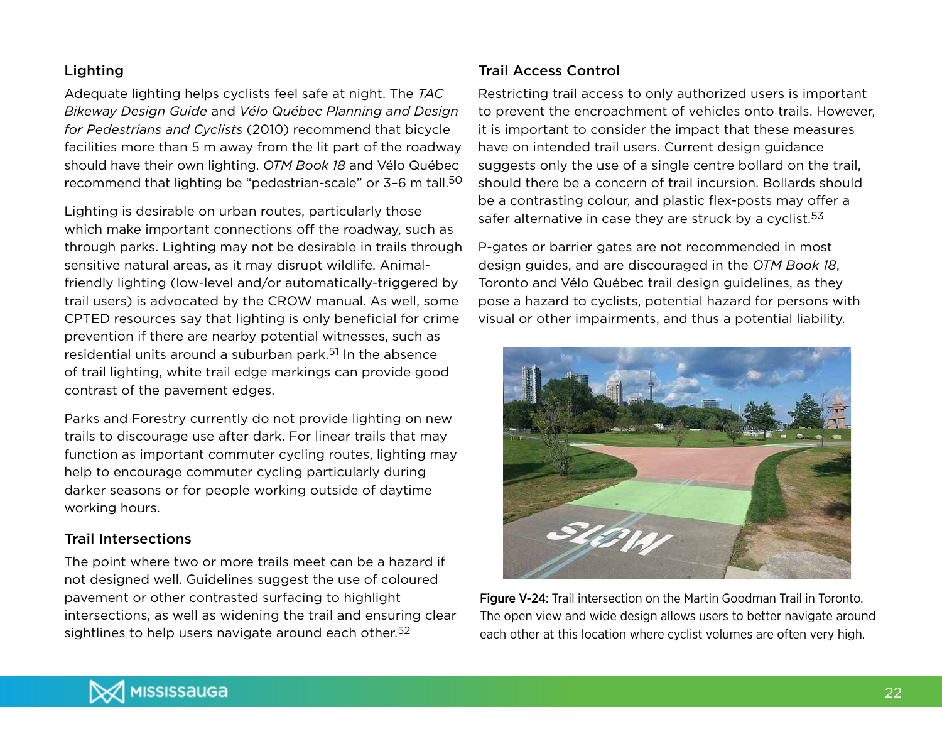## Lighting

Adequate lighting helps cyclists feel safe at night. The *TAC Bikeway Design Guide* and *Vélo Québec Planning and Design for Pedestrians and Cyclists* (2010) recommend that bicycle facilities more than 5 m away from the lit part of the roadway should have their own lighting. *OTM Book 18* and Vélo Québec recommend that lighting be "pedestrian-scale" or 3–6 m tall.50

Lighting is desirable on urban routes, particularly those which make important connections off the roadway, such as through parks. Lighting may not be desirable in trails through sensitive natural areas, as it may disrupt wildlife. Animalfriendly lighting (low-level and/or automatically-triggered by trail users) is advocated by the CROW manual. As well, some CPTED resources say that lighting is only beneficial for crime prevention if there are nearby potential witnesses, such as residential units around a suburban park.51 In the absence of trail lighting, white trail edge markings can provide good contrast of the pavement edges.

Parks and Forestry currently do not provide lighting on new trails to discourage use after dark. For linear trails that may function as important commuter cycling routes, lighting may help to encourage commuter cycling particularly during darker seasons or for people working outside of daytime working hours.

## Trail Intersections

The point where two or more trails meet can be a hazard if not designed well. Guidelines suggest the use of coloured pavement or other contrasted surfacing to highlight intersections, as well as widening the trail and ensuring clear sightlines to help users navigate around each other.<sup>52</sup>

## Trail Access Control

Restricting trail access to only authorized users is important to prevent the encroachment of vehicles onto trails. However, it is important to consider the impact that these measures have on intended trail users. Current design guidance suggests only the use of a single centre bollard on the trail, should there be a concern of trail incursion. Bollards should be a contrasting colour, and plastic flex-posts may offer a safer alternative in case they are struck by a cyclist.<sup>53</sup>

P-gates or barrier gates are not recommended in most design guides, and are discouraged in the *OTM Book 18*, Toronto and Vélo Québec trail design guidelines, as they pose a hazard to cyclists, potential hazard for persons with visual or other impairments, and thus a potential liability.



Figure V-24: Trail intersection on the Martin Goodman Trail in Toronto. The open view and wide design allows users to better navigate around each other at this location where cyclist volumes are often very high.

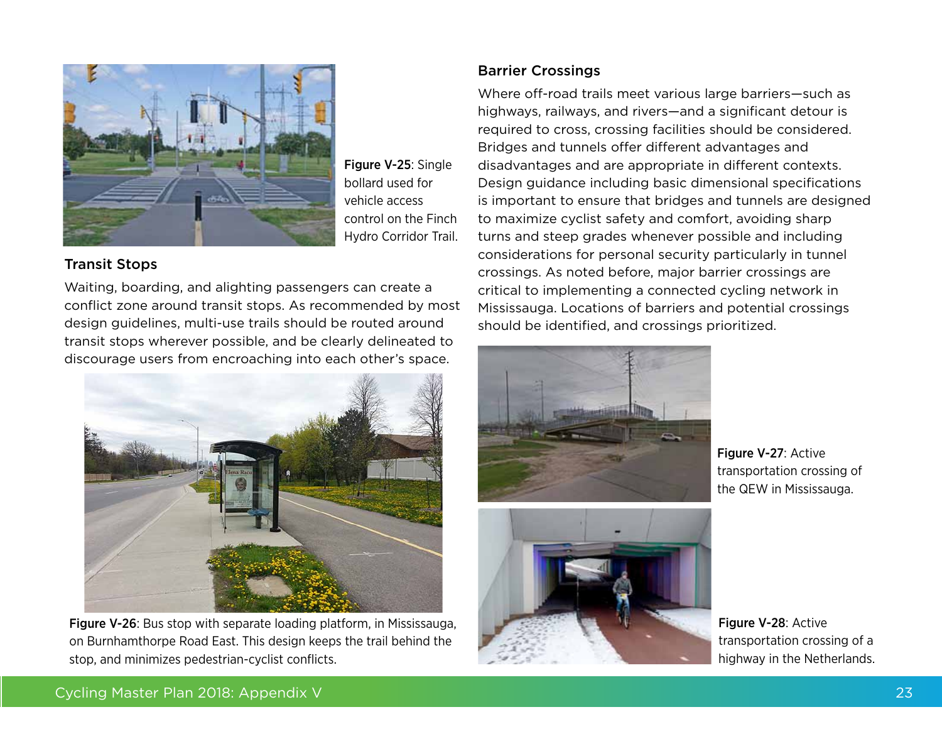

Figure V-25: Single bollard used for vehicle access control on the Finch Hydro Corridor Trail.

## Transit Stops

Waiting, boarding, and alighting passengers can create a conflict zone around transit stops. As recommended by most design guidelines, multi-use trails should be routed around transit stops wherever possible, and be clearly delineated to discourage users from encroaching into each other's space.



Figure V-26: Bus stop with separate loading platform, in Mississauga, on Burnhamthorpe Road East. This design keeps the trail behind the stop, and minimizes pedestrian-cyclist conflicts.

## Barrier Crossings

Where off-road trails meet various large barriers—such as highways, railways, and rivers—and a significant detour is required to cross, crossing facilities should be considered. Bridges and tunnels offer different advantages and disadvantages and are appropriate in different contexts. Design guidance including basic dimensional specifications is important to ensure that bridges and tunnels are designed to maximize cyclist safety and comfort, avoiding sharp turns and steep grades whenever possible and including considerations for personal security particularly in tunnel crossings. As noted before, major barrier crossings are critical to implementing a connected cycling network in Mississauga. Locations of barriers and potential crossings should be identified, and crossings prioritized.





Figure V-27: Active transportation crossing of the QEW in Mississauga.

Figure V-28: Active transportation crossing of a highway in the Netherlands.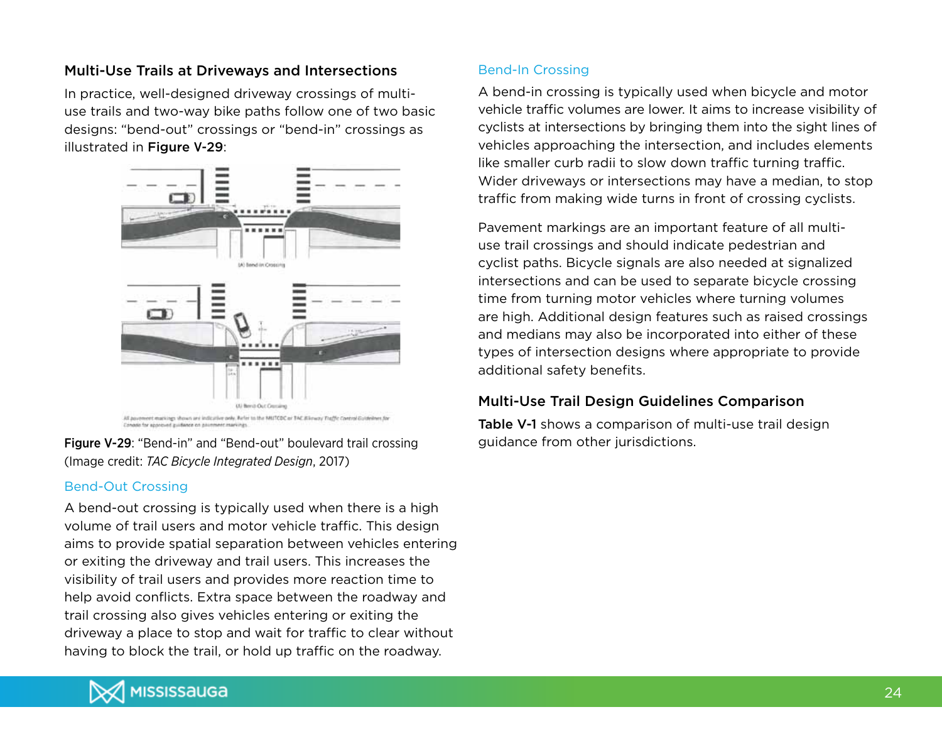## Multi-Use Trails at Driveways and Intersections

In practice, well-designed driveway crossings of multiuse trails and two-way bike paths follow one of two basic designs: "bend-out" crossings or "bend-in" crossings as illustrated in Figure V-29:



Figure V-29: "Bend-in" and "Bend-out" boulevard trail crossing (Image credit: *TAC Bicycle Integrated Design*, 2017)

### Bend-Out Crossing

A bend-out crossing is typically used when there is a high volume of trail users and motor vehicle traffic. This design aims to provide spatial separation between vehicles entering or exiting the driveway and trail users. This increases the visibility of trail users and provides more reaction time to help avoid conflicts. Extra space between the roadway and trail crossing also gives vehicles entering or exiting the driveway a place to stop and wait for traffic to clear without having to block the trail, or hold up traffic on the roadway.

### Bend-In Crossing

A bend-in crossing is typically used when bicycle and motor vehicle traffic volumes are lower. It aims to increase visibility of cyclists at intersections by bringing them into the sight lines of vehicles approaching the intersection, and includes elements like smaller curb radii to slow down traffic turning traffic. Wider driveways or intersections may have a median, to stop traffic from making wide turns in front of crossing cyclists.

Pavement markings are an important feature of all multiuse trail crossings and should indicate pedestrian and cyclist paths. Bicycle signals are also needed at signalized intersections and can be used to separate bicycle crossing time from turning motor vehicles where turning volumes are high. Additional design features such as raised crossings and medians may also be incorporated into either of these types of intersection designs where appropriate to provide additional safety benefits.

## Multi-Use Trail Design Guidelines Comparison

Table V-1 shows a comparison of multi-use trail design guidance from other jurisdictions.

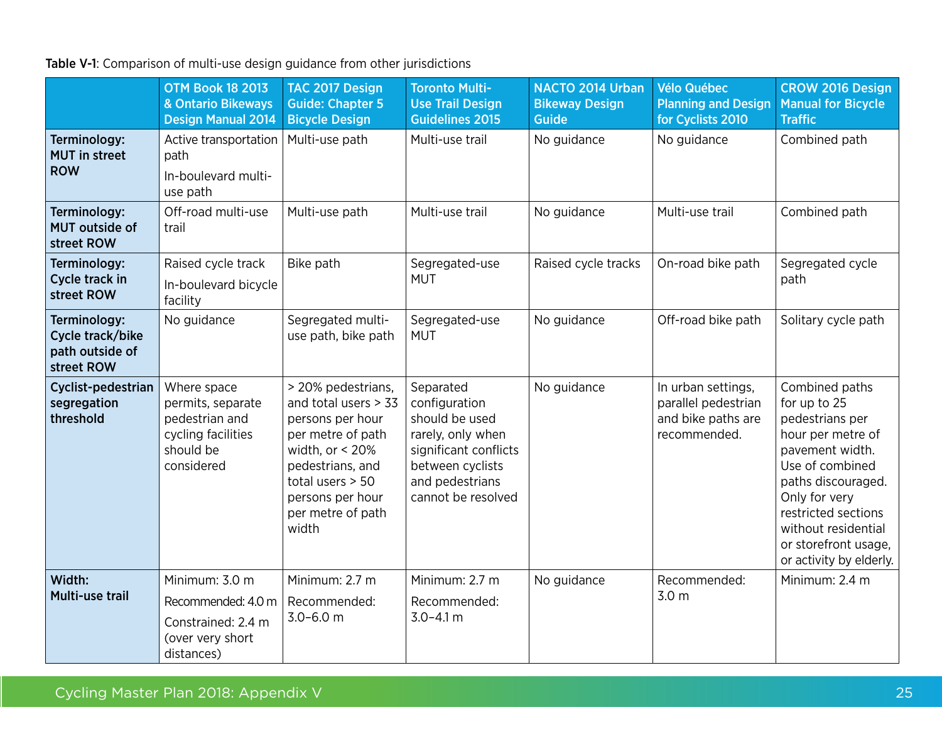## Table V-1: Comparison of multi-use design guidance from other jurisdictions

|                                                                   | <b>OTM Book 18 2013</b><br>& Ontario Bikeways<br><b>Design Manual 2014</b>                          | TAC 2017 Design<br><b>Guide: Chapter 5</b><br><b>Bicycle Design</b>                                                                                                                                  | <b>Toronto Multi-</b><br><b>Use Trail Design</b><br><b>Guidelines 2015</b>                                                                              | NACTO 2014 Urban<br><b>Bikeway Design</b><br><b>Guide</b> | <b>Vélo Québec</b><br><b>Planning and Design</b><br>for Cyclists 2010           | <b>CROW 2016 Design</b><br><b>Manual for Bicycle</b><br><b>Traffic</b>                                                                                                                                                                               |
|-------------------------------------------------------------------|-----------------------------------------------------------------------------------------------------|------------------------------------------------------------------------------------------------------------------------------------------------------------------------------------------------------|---------------------------------------------------------------------------------------------------------------------------------------------------------|-----------------------------------------------------------|---------------------------------------------------------------------------------|------------------------------------------------------------------------------------------------------------------------------------------------------------------------------------------------------------------------------------------------------|
| Terminology:<br><b>MUT</b> in street<br><b>ROW</b>                | Active transportation<br>path<br>In-boulevard multi-<br>use path                                    | Multi-use path                                                                                                                                                                                       | Multi-use trail                                                                                                                                         | No guidance                                               | No guidance                                                                     | Combined path                                                                                                                                                                                                                                        |
| Terminology:<br><b>MUT</b> outside of<br>street ROW               | Off-road multi-use<br>trail                                                                         | Multi-use path                                                                                                                                                                                       | Multi-use trail                                                                                                                                         | No guidance                                               | Multi-use trail                                                                 | Combined path                                                                                                                                                                                                                                        |
| Terminology:<br>Cycle track in<br>street ROW                      | Raised cycle track<br>In-boulevard bicycle<br>facility                                              | Bike path                                                                                                                                                                                            | Segregated-use<br><b>MUT</b>                                                                                                                            | Raised cycle tracks                                       | On-road bike path                                                               | Segregated cycle<br>path                                                                                                                                                                                                                             |
| Terminology:<br>Cycle track/bike<br>path outside of<br>street ROW | No guidance                                                                                         | Segregated multi-<br>use path, bike path                                                                                                                                                             | Segregated-use<br><b>MUT</b>                                                                                                                            | No guidance                                               | Off-road bike path                                                              | Solitary cycle path                                                                                                                                                                                                                                  |
| Cyclist-pedestrian<br>segregation<br>threshold                    | Where space<br>permits, separate<br>pedestrian and<br>cycling facilities<br>should be<br>considered | > 20% pedestrians,<br>and total users > 33<br>persons per hour<br>per metre of path<br>width, or $<$ 20%<br>pedestrians, and<br>total users $> 50$<br>persons per hour<br>per metre of path<br>width | Separated<br>configuration<br>should be used<br>rarely, only when<br>significant conflicts<br>between cyclists<br>and pedestrians<br>cannot be resolved | No guidance                                               | In urban settings,<br>parallel pedestrian<br>and bike paths are<br>recommended. | Combined paths<br>for up to 25<br>pedestrians per<br>hour per metre of<br>pavement width.<br>Use of combined<br>paths discouraged.<br>Only for very<br>restricted sections<br>without residential<br>or storefront usage,<br>or activity by elderly. |
| Width:<br><b>Multi-use trail</b>                                  | Minimum: 3.0 m<br>Recommended: 4.0 m<br>Constrained: 2.4 m<br>(over very short<br>distances)        | Minimum: 2.7 m<br>Recommended:<br>$3.0 - 6.0$ m                                                                                                                                                      | Minimum: 2.7 m<br>Recommended:<br>$3.0 - 4.1$ m                                                                                                         | No guidance                                               | Recommended:<br>3.0 m                                                           | Minimum: 2.4 m                                                                                                                                                                                                                                       |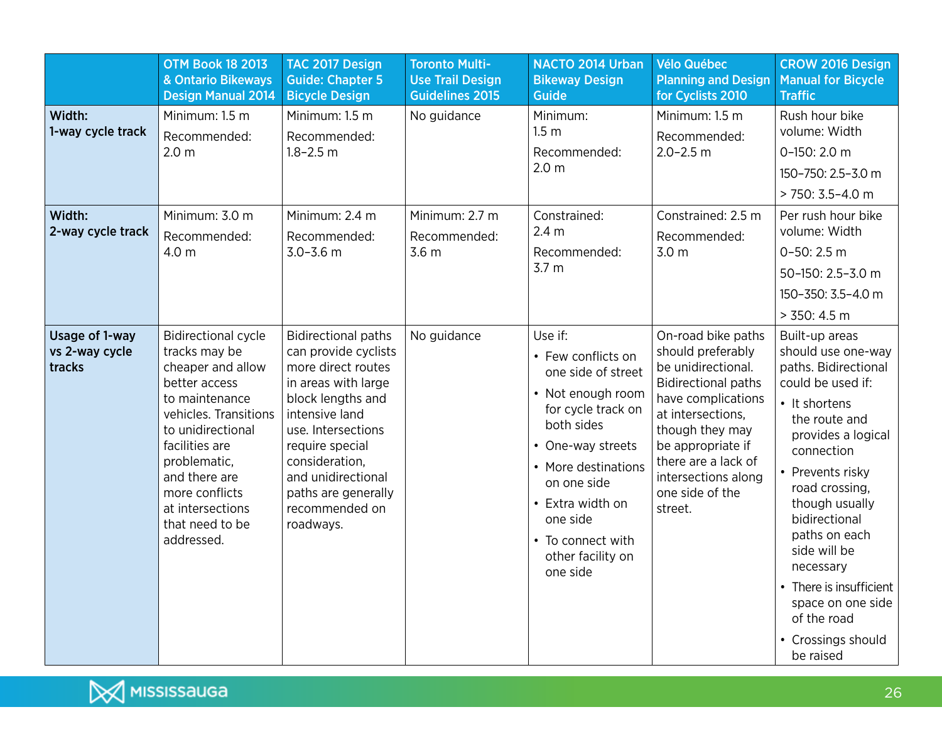|                                            | <b>OTM Book 18 2013</b><br>& Ontario Bikeways<br><b>Design Manual 2014</b>                                                                                                                                                                                                  | TAC 2017 Design<br><b>Guide: Chapter 5</b><br><b>Bicycle Design</b>                                                                                                                                                                                                           | <b>Toronto Multi-</b><br><b>Use Trail Design</b><br><b>Guidelines 2015</b> | <b>NACTO 2014 Urban</b><br><b>Bikeway Design</b><br><b>Guide</b>                                                                                                                                                                                              | <b>Vélo Québec</b><br><b>Planning and Design</b><br>for Cyclists 2010                                                                                                                                                                                      | <b>CROW 2016 Design</b><br><b>Manual for Bicycle</b><br><b>Traffic</b>                                                                                                                                                                                                                                                                                                           |
|--------------------------------------------|-----------------------------------------------------------------------------------------------------------------------------------------------------------------------------------------------------------------------------------------------------------------------------|-------------------------------------------------------------------------------------------------------------------------------------------------------------------------------------------------------------------------------------------------------------------------------|----------------------------------------------------------------------------|---------------------------------------------------------------------------------------------------------------------------------------------------------------------------------------------------------------------------------------------------------------|------------------------------------------------------------------------------------------------------------------------------------------------------------------------------------------------------------------------------------------------------------|----------------------------------------------------------------------------------------------------------------------------------------------------------------------------------------------------------------------------------------------------------------------------------------------------------------------------------------------------------------------------------|
| Width:<br>1-way cycle track                | Minimum: 1.5 m<br>Recommended:<br>2.0 <sub>m</sub>                                                                                                                                                                                                                          | Minimum: 1.5 m<br>Recommended:<br>$1.8 - 2.5$ m                                                                                                                                                                                                                               | No guidance                                                                | Minimum:<br>1.5 <sub>m</sub><br>Recommended:<br>2.0 <sub>m</sub>                                                                                                                                                                                              | Minimum: 1.5 m<br>Recommended:<br>$2.0 - 2.5$ m                                                                                                                                                                                                            | Rush hour bike<br>volume: Width<br>0-150: 2.0 m<br>150-750: 2.5-3.0 m<br>> 750: 3.5-4.0 m                                                                                                                                                                                                                                                                                        |
| Width:<br>2-way cycle track                | Minimum: 3.0 m<br>Recommended:<br>4.0 m                                                                                                                                                                                                                                     | Minimum: 2.4 m<br>Recommended:<br>$3.0 - 3.6$ m                                                                                                                                                                                                                               | Minimum: 2.7 m<br>Recommended:<br>3.6 <sub>m</sub>                         | Constrained:<br>2.4 <sub>m</sub><br>Recommended:<br>3.7 <sub>m</sub>                                                                                                                                                                                          | Constrained: 2.5 m<br>Recommended:<br>3.0 <sub>m</sub>                                                                                                                                                                                                     | Per rush hour bike<br>volume: Width<br>$0 - 50: 2.5 m$<br>50-150: 2.5-3.0 m<br>150-350: 3.5-4.0 m<br>> 350: 4.5 m                                                                                                                                                                                                                                                                |
| Usage of 1-way<br>vs 2-way cycle<br>tracks | <b>Bidirectional cycle</b><br>tracks may be<br>cheaper and allow<br>better access<br>to maintenance<br>vehicles. Transitions<br>to unidirectional<br>facilities are<br>problematic,<br>and there are<br>more conflicts<br>at intersections<br>that need to be<br>addressed. | <b>Bidirectional paths</b><br>can provide cyclists<br>more direct routes<br>in areas with large<br>block lengths and<br>intensive land<br>use. Intersections<br>require special<br>consideration,<br>and unidirectional<br>paths are generally<br>recommended on<br>roadways. | No guidance                                                                | Use if:<br>• Few conflicts on<br>one side of street<br>• Not enough room<br>for cycle track on<br>both sides<br>• One-way streets<br>• More destinations<br>on one side<br>• Extra width on<br>one side<br>• To connect with<br>other facility on<br>one side | On-road bike paths<br>should preferably<br>be unidirectional.<br><b>Bidirectional paths</b><br>have complications<br>at intersections,<br>though they may<br>be appropriate if<br>there are a lack of<br>intersections along<br>one side of the<br>street. | Built-up areas<br>should use one-way<br>paths. Bidirectional<br>could be used if:<br>• It shortens<br>the route and<br>provides a logical<br>connection<br>• Prevents risky<br>road crossing,<br>though usually<br>bidirectional<br>paths on each<br>side will be<br>necessary<br>• There is insufficient<br>space on one side<br>of the road<br>• Crossings should<br>be raised |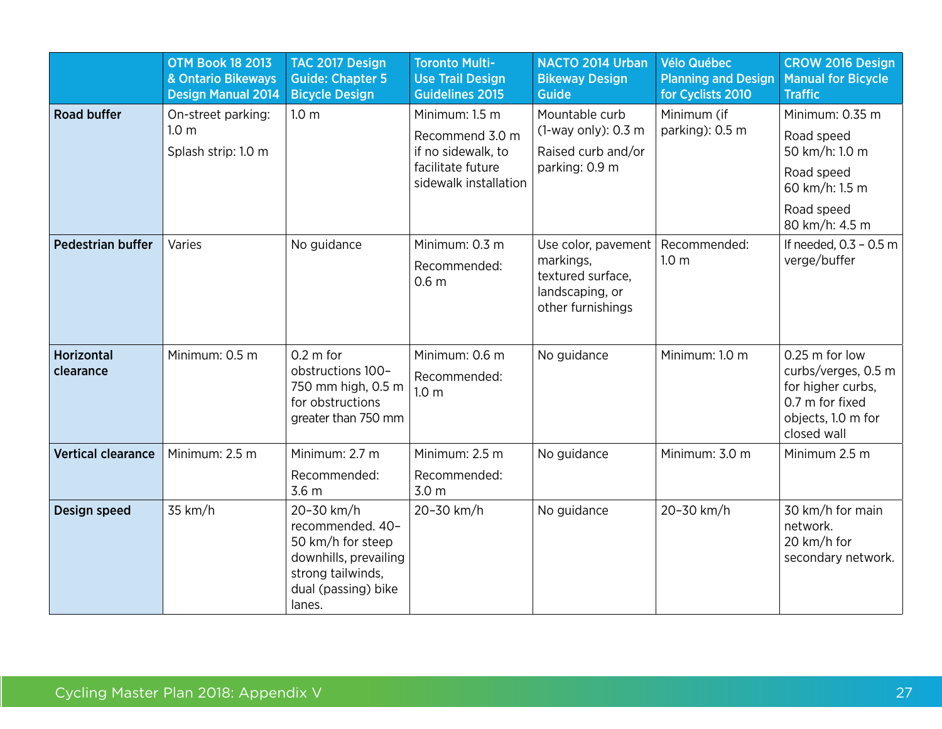|                                | <b>OTM Book 18 2013</b><br>& Ontario Bikeways<br><b>Design Manual 2014</b> | TAC 2017 Design<br><b>Guide: Chapter 5</b><br><b>Bicycle Design</b>                                                                | <b>Toronto Multi-</b><br><b>Use Trail Design</b><br><b>Guidelines 2015</b>                            | <b>NACTO 2014 Urban</b><br><b>Bikeway Design</b><br><b>Guide</b>                              | <b>Vélo Québec</b><br><b>Planning and Design</b><br>for Cyclists 2010 | <b>CROW 2016 Design</b><br><b>Manual for Bicycle</b><br><b>Traffic</b>                                             |
|--------------------------------|----------------------------------------------------------------------------|------------------------------------------------------------------------------------------------------------------------------------|-------------------------------------------------------------------------------------------------------|-----------------------------------------------------------------------------------------------|-----------------------------------------------------------------------|--------------------------------------------------------------------------------------------------------------------|
| <b>Road buffer</b>             | On-street parking:<br>1.0 <sub>m</sub><br>Splash strip: 1.0 m              | 1.0 <sub>m</sub>                                                                                                                   | Minimum: 1.5 m<br>Recommend 3.0 m<br>if no sidewalk, to<br>facilitate future<br>sidewalk installation | Mountable curb<br>(1-way only): 0.3 m<br>Raised curb and/or<br>parking: 0.9 m                 | Minimum (if<br>parking): 0.5 m                                        | Minimum: 0.35 m<br>Road speed<br>50 km/h: 1.0 m<br>Road speed<br>60 km/h: 1.5 m<br>Road speed<br>80 km/h: 4.5 m    |
| <b>Pedestrian buffer</b>       | Varies                                                                     | No guidance                                                                                                                        | Minimum: 0.3 m<br>Recommended:<br>0.6 <sub>m</sub>                                                    | Use color, pavement<br>markings,<br>textured surface,<br>landscaping, or<br>other furnishings | Recommended:<br>1.0 <sub>m</sub>                                      | If needed, 0.3 - 0.5 m<br>verge/buffer                                                                             |
| <b>Horizontal</b><br>clearance | Minimum: 0.5 m                                                             | $0.2 \text{ m}$ for<br>obstructions 100-<br>750 mm high, 0.5 m<br>for obstructions<br>greater than 750 mm                          | Minimum: 0.6 m<br>Recommended:<br>1.0 <sub>m</sub>                                                    | No guidance                                                                                   | Minimum: 1.0 m                                                        | 0.25 m for low<br>curbs/verges, 0.5 m<br>for higher curbs,<br>0.7 m for fixed<br>objects, 1.0 m for<br>closed wall |
| <b>Vertical clearance</b>      | Minimum: 2.5 m                                                             | Minimum: 2.7 m<br>Recommended:<br>3.6 <sub>m</sub>                                                                                 | Minimum: 2.5 m<br>Recommended:<br>3.0 <sub>m</sub>                                                    | No guidance                                                                                   | Minimum: 3.0 m                                                        | Minimum 2.5 m                                                                                                      |
| Design speed                   | 35 km/h                                                                    | 20-30 km/h<br>recommended. 40-<br>50 km/h for steep<br>downhills, prevailing<br>strong tailwinds,<br>dual (passing) bike<br>lanes. | 20-30 km/h                                                                                            | No guidance                                                                                   | 20-30 km/h                                                            | 30 km/h for main<br>network.<br>20 km/h for<br>secondary network.                                                  |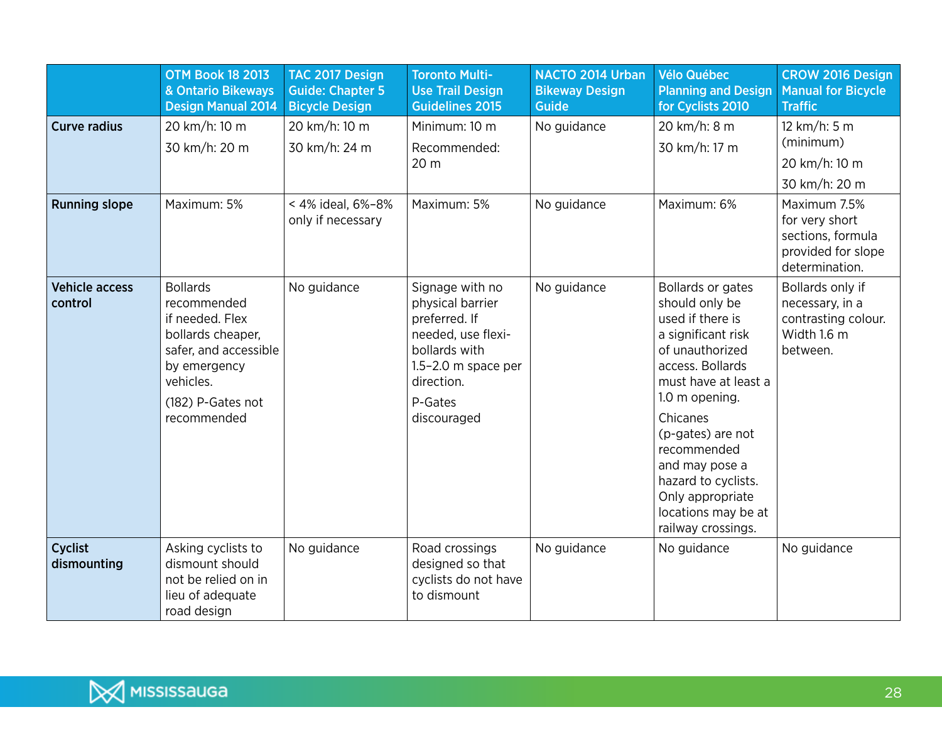|                                  | <b>OTM Book 18 2013</b><br>& Ontario Bikeways<br><b>Design Manual 2014</b>                                                                                       | TAC 2017 Design<br><b>Guide: Chapter 5</b><br><b>Bicycle Design</b> | <b>Toronto Multi-</b><br><b>Use Trail Design</b><br><b>Guidelines 2015</b>                                                                                     | NACTO 2014 Urban<br><b>Bikeway Design</b><br><b>Guide</b> | Vélo Québec<br><b>Planning and Design</b><br>for Cyclists 2010                                                                                                                                                                                                                                                           | <b>CROW 2016 Design</b><br><b>Manual for Bicycle</b><br><b>Traffic</b>                      |
|----------------------------------|------------------------------------------------------------------------------------------------------------------------------------------------------------------|---------------------------------------------------------------------|----------------------------------------------------------------------------------------------------------------------------------------------------------------|-----------------------------------------------------------|--------------------------------------------------------------------------------------------------------------------------------------------------------------------------------------------------------------------------------------------------------------------------------------------------------------------------|---------------------------------------------------------------------------------------------|
| <b>Curve radius</b>              | 20 km/h: 10 m<br>30 km/h: 20 m                                                                                                                                   | 20 km/h: 10 m<br>30 km/h: 24 m                                      | Minimum: 10 m<br>Recommended:<br>20 m                                                                                                                          | No guidance                                               | 20 km/h: 8 m<br>30 km/h: 17 m                                                                                                                                                                                                                                                                                            | 12 km/h: 5 m<br>(minimum)<br>20 km/h: 10 m<br>30 km/h: 20 m                                 |
| <b>Running slope</b>             | Maximum: 5%                                                                                                                                                      | < 4% ideal, 6%-8%<br>only if necessary                              | Maximum: 5%                                                                                                                                                    | No guidance                                               | Maximum: 6%                                                                                                                                                                                                                                                                                                              | Maximum 7.5%<br>for very short<br>sections, formula<br>provided for slope<br>determination. |
| <b>Vehicle access</b><br>control | <b>Bollards</b><br>recommended<br>if needed. Flex<br>bollards cheaper,<br>safer, and accessible<br>by emergency<br>vehicles.<br>(182) P-Gates not<br>recommended | No guidance                                                         | Signage with no<br>physical barrier<br>preferred. If<br>needed, use flexi-<br>bollards with<br>$1.5 - 2.0$ m space per<br>direction.<br>P-Gates<br>discouraged | No guidance                                               | Bollards or gates<br>should only be<br>used if there is<br>a significant risk<br>of unauthorized<br>access. Bollards<br>must have at least a<br>1.0 m opening.<br>Chicanes<br>(p-gates) are not<br>recommended<br>and may pose a<br>hazard to cyclists.<br>Only appropriate<br>locations may be at<br>railway crossings. | Bollards only if<br>necessary, in a<br>contrasting colour.<br>Width 1.6 m<br>between.       |
| <b>Cyclist</b><br>dismounting    | Asking cyclists to<br>dismount should<br>not be relied on in<br>lieu of adequate<br>road design                                                                  | No guidance                                                         | Road crossings<br>designed so that<br>cyclists do not have<br>to dismount                                                                                      | No guidance                                               | No guidance                                                                                                                                                                                                                                                                                                              | No guidance                                                                                 |

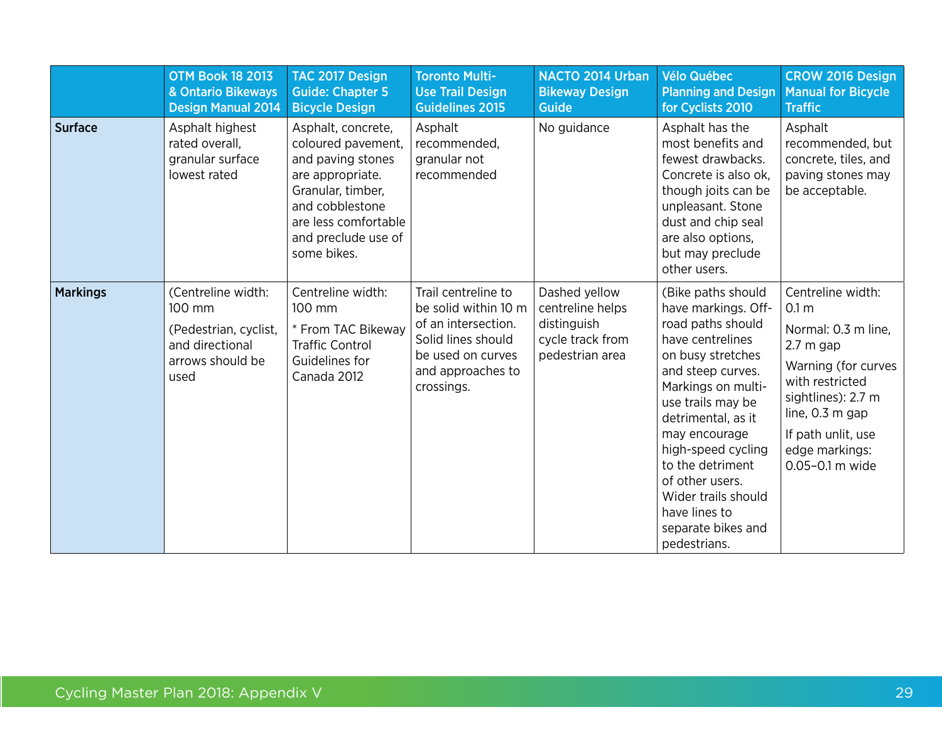|                 | <b>OTM Book 18 2013</b><br>& Ontario Bikeways<br><b>Design Manual 2014</b>                           | TAC 2017 Design<br><b>Guide: Chapter 5</b><br><b>Bicycle Design</b>                                                                                                                     | <b>Toronto Multi-</b><br><b>Use Trail Design</b><br><b>Guidelines 2015</b>                                                                       | <b>NACTO 2014 Urban</b><br><b>Bikeway Design</b><br><b>Guide</b>                        | <b>Vélo Québec</b><br><b>Planning and Design</b><br>for Cyclists 2010                                                                                                                                                                                                                                                                                     | <b>CROW 2016 Design</b><br><b>Manual for Bicycle</b><br><b>Traffic</b>                                                                                                                                                     |
|-----------------|------------------------------------------------------------------------------------------------------|-----------------------------------------------------------------------------------------------------------------------------------------------------------------------------------------|--------------------------------------------------------------------------------------------------------------------------------------------------|-----------------------------------------------------------------------------------------|-----------------------------------------------------------------------------------------------------------------------------------------------------------------------------------------------------------------------------------------------------------------------------------------------------------------------------------------------------------|----------------------------------------------------------------------------------------------------------------------------------------------------------------------------------------------------------------------------|
| <b>Surface</b>  | Asphalt highest<br>rated overall,<br>granular surface<br>lowest rated                                | Asphalt, concrete,<br>coloured pavement,<br>and paving stones<br>are appropriate.<br>Granular, timber,<br>and cobblestone<br>are less comfortable<br>and preclude use of<br>some bikes. | Asphalt<br>recommended,<br>granular not<br>recommended                                                                                           | No guidance                                                                             | Asphalt has the<br>most benefits and<br>fewest drawbacks.<br>Concrete is also ok,<br>though joits can be<br>unpleasant. Stone<br>dust and chip seal<br>are also options,<br>but may preclude<br>other users.                                                                                                                                              | Asphalt<br>recommended, but<br>concrete, tiles, and<br>paving stones may<br>be acceptable.                                                                                                                                 |
| <b>Markings</b> | (Centreline width:<br>100 mm<br>(Pedestrian, cyclist,<br>and directional<br>arrows should be<br>used | Centreline width:<br>100 mm<br>* From TAC Bikeway<br><b>Traffic Control</b><br>Guidelines for<br>Canada 2012                                                                            | Trail centreline to<br>be solid within 10 m<br>of an intersection.<br>Solid lines should<br>be used on curves<br>and approaches to<br>crossings. | Dashed yellow<br>centreline helps<br>distinguish<br>cycle track from<br>pedestrian area | (Bike paths should<br>have markings. Off-<br>road paths should<br>have centrelines<br>on busy stretches<br>and steep curves.<br>Markings on multi-<br>use trails may be<br>detrimental, as it<br>may encourage<br>high-speed cycling<br>to the detriment<br>of other users.<br>Wider trails should<br>have lines to<br>separate bikes and<br>pedestrians. | Centreline width:<br>0.1 <sub>m</sub><br>Normal: 0.3 m line,<br>$2.7m$ gap<br>Warning (for curves<br>with restricted<br>sightlines): 2.7 m<br>line, $0.3$ m gap<br>If path unlit, use<br>edge markings:<br>0.05-0.1 m wide |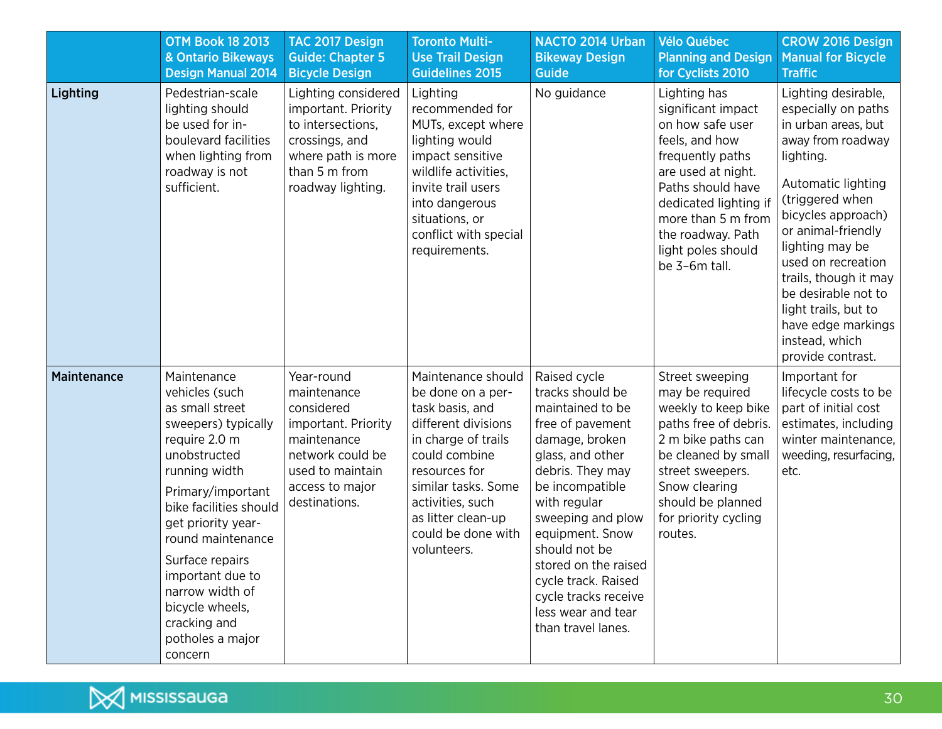|                    | <b>OTM Book 18 2013</b><br>& Ontario Bikeways<br><b>Design Manual 2014</b>                                                                                                                                                                                                                                                                      | TAC 2017 Design<br><b>Guide: Chapter 5</b><br><b>Bicycle Design</b>                                                                                       | <b>Toronto Multi-</b><br><b>Use Trail Design</b><br><b>Guidelines 2015</b>                                                                                                                                                                       | NACTO 2014 Urban<br><b>Bikeway Design</b><br><b>Guide</b>                                                                                                                                                                                                                                                                                         | <b>Vélo Québec</b><br><b>Planning and Design</b><br>for Cyclists 2010                                                                                                                                                                              | <b>CROW 2016 Design</b><br><b>Manual for Bicycle</b><br><b>Traffic</b>                                                                                                                                                                                                                                                                                                 |
|--------------------|-------------------------------------------------------------------------------------------------------------------------------------------------------------------------------------------------------------------------------------------------------------------------------------------------------------------------------------------------|-----------------------------------------------------------------------------------------------------------------------------------------------------------|--------------------------------------------------------------------------------------------------------------------------------------------------------------------------------------------------------------------------------------------------|---------------------------------------------------------------------------------------------------------------------------------------------------------------------------------------------------------------------------------------------------------------------------------------------------------------------------------------------------|----------------------------------------------------------------------------------------------------------------------------------------------------------------------------------------------------------------------------------------------------|------------------------------------------------------------------------------------------------------------------------------------------------------------------------------------------------------------------------------------------------------------------------------------------------------------------------------------------------------------------------|
| Lighting           | Pedestrian-scale<br>lighting should<br>be used for in-<br>boulevard facilities<br>when lighting from<br>roadway is not<br>sufficient.                                                                                                                                                                                                           | Lighting considered<br>important. Priority<br>to intersections,<br>crossings, and<br>where path is more<br>than 5 m from<br>roadway lighting.             | Lighting<br>recommended for<br>MUTs, except where<br>lighting would<br>impact sensitive<br>wildlife activities,<br>invite trail users<br>into dangerous<br>situations, or<br>conflict with special<br>requirements.                              | No guidance                                                                                                                                                                                                                                                                                                                                       | Lighting has<br>significant impact<br>on how safe user<br>feels, and how<br>frequently paths<br>are used at night.<br>Paths should have<br>dedicated lighting if<br>more than 5 m from<br>the roadway. Path<br>light poles should<br>be 3-6m tall. | Lighting desirable,<br>especially on paths<br>in urban areas, but<br>away from roadway<br>lighting.<br>Automatic lighting<br>(triggered when<br>bicycles approach)<br>or animal-friendly<br>lighting may be<br>used on recreation<br>trails, though it may<br>be desirable not to<br>light trails, but to<br>have edge markings<br>instead, which<br>provide contrast. |
| <b>Maintenance</b> | Maintenance<br>vehicles (such<br>as small street<br>sweepers) typically<br>require 2.0 m<br>unobstructed<br>running width<br>Primary/important<br>bike facilities should<br>get priority year-<br>round maintenance<br>Surface repairs<br>important due to<br>narrow width of<br>bicycle wheels,<br>cracking and<br>potholes a major<br>concern | Year-round<br>maintenance<br>considered<br>important. Priority<br>maintenance<br>network could be<br>used to maintain<br>access to major<br>destinations. | Maintenance should<br>be done on a per-<br>task basis, and<br>different divisions<br>in charge of trails<br>could combine<br>resources for<br>similar tasks. Some<br>activities, such<br>as litter clean-up<br>could be done with<br>volunteers. | Raised cycle<br>tracks should be<br>maintained to be<br>free of pavement<br>damage, broken<br>glass, and other<br>debris. They may<br>be incompatible<br>with regular<br>sweeping and plow<br>equipment. Snow<br>should not be<br>stored on the raised<br>cycle track. Raised<br>cycle tracks receive<br>less wear and tear<br>than travel lanes. | Street sweeping<br>may be required<br>weekly to keep bike<br>paths free of debris.<br>2 m bike paths can<br>be cleaned by small<br>street sweepers.<br>Snow clearing<br>should be planned<br>for priority cycling<br>routes.                       | Important for<br>lifecycle costs to be<br>part of initial cost<br>estimates, including<br>winter maintenance,<br>weeding, resurfacing,<br>etc.                                                                                                                                                                                                                         |

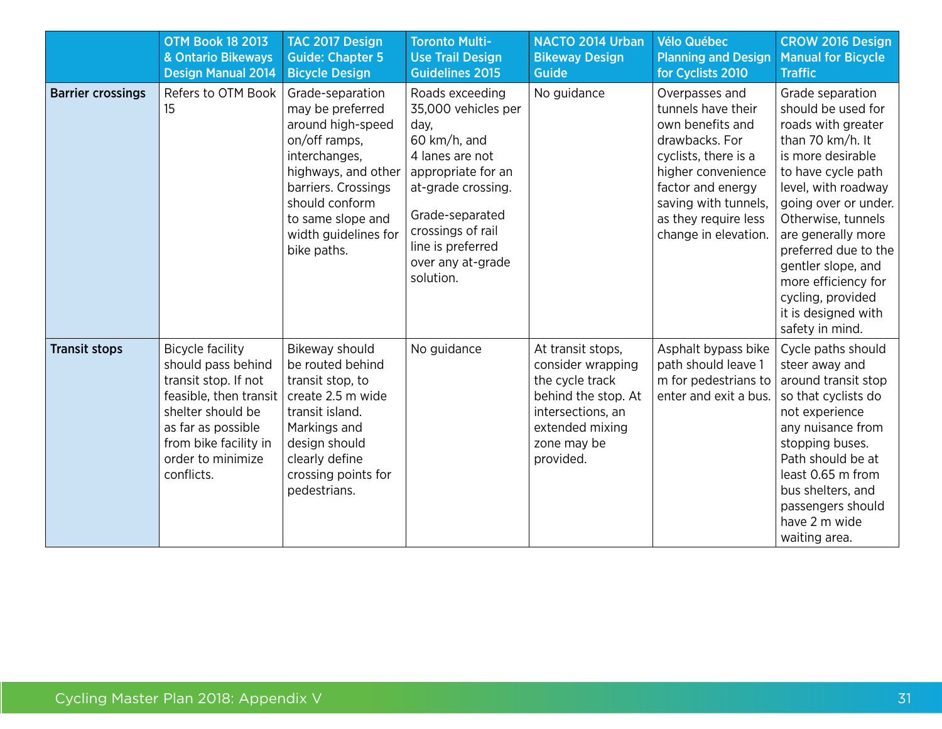|                          | <b>OTM Book 18 2013</b><br>& Ontario Bikeways<br><b>Design Manual 2014</b>                                                                                                                             | TAC 2017 Design<br><b>Guide: Chapter 5</b><br><b>Bicycle Design</b>                                                                                                                                                     | <b>Toronto Multi-</b><br><b>Use Trail Design</b><br><b>Guidelines 2015</b>                                                                                                                                                   | NACTO 2014 Urban<br><b>Bikeway Design</b><br>Guide                                                                                                   | <b>Vélo Québec</b><br><b>Planning and Design</b><br>for Cyclists 2010                                                                                                                                                 | <b>CROW 2016 Design</b><br><b>Manual for Bicycle</b><br><b>Traffic</b>                                                                                                                                                                                                                                                                                     |
|--------------------------|--------------------------------------------------------------------------------------------------------------------------------------------------------------------------------------------------------|-------------------------------------------------------------------------------------------------------------------------------------------------------------------------------------------------------------------------|------------------------------------------------------------------------------------------------------------------------------------------------------------------------------------------------------------------------------|------------------------------------------------------------------------------------------------------------------------------------------------------|-----------------------------------------------------------------------------------------------------------------------------------------------------------------------------------------------------------------------|------------------------------------------------------------------------------------------------------------------------------------------------------------------------------------------------------------------------------------------------------------------------------------------------------------------------------------------------------------|
| <b>Barrier crossings</b> | Refers to OTM Book<br>15                                                                                                                                                                               | Grade-separation<br>may be preferred<br>around high-speed<br>on/off ramps,<br>interchanges,<br>highways, and other<br>barriers. Crossings<br>should conform<br>to same slope and<br>width guidelines for<br>bike paths. | Roads exceeding<br>35,000 vehicles per<br>day,<br>60 km/h, and<br>4 lanes are not<br>appropriate for an<br>at-grade crossing.<br>Grade-separated<br>crossings of rail<br>line is preferred<br>over any at-grade<br>solution. | No guidance                                                                                                                                          | Overpasses and<br>tunnels have their<br>own benefits and<br>drawbacks. For<br>cyclists, there is a<br>higher convenience<br>factor and energy<br>saving with tunnels,<br>as they require less<br>change in elevation. | Grade separation<br>should be used for<br>roads with greater<br>than 70 km/h. It<br>is more desirable<br>to have cycle path<br>level, with roadway<br>going over or under.<br>Otherwise, tunnels<br>are generally more<br>preferred due to the<br>gentler slope, and<br>more efficiency for<br>cycling, provided<br>it is designed with<br>safety in mind. |
| <b>Transit stops</b>     | <b>Bicycle facility</b><br>should pass behind<br>transit stop. If not<br>feasible, then transit<br>shelter should be<br>as far as possible<br>from bike facility in<br>order to minimize<br>conflicts. | Bikeway should<br>be routed behind<br>transit stop, to<br>create 2.5 m wide<br>transit island.<br>Markings and<br>design should<br>clearly define<br>crossing points for<br>pedestrians.                                | No guidance                                                                                                                                                                                                                  | At transit stops,<br>consider wrapping<br>the cycle track<br>behind the stop. At<br>intersections, an<br>extended mixing<br>zone may be<br>provided. | Asphalt bypass bike<br>path should leave 1<br>m for pedestrians to<br>enter and exit a bus.                                                                                                                           | Cycle paths should<br>steer away and<br>around transit stop<br>so that cyclists do<br>not experience<br>any nuisance from<br>stopping buses.<br>Path should be at<br>least 0.65 m from<br>bus shelters, and<br>passengers should<br>have 2 m wide<br>waiting area.                                                                                         |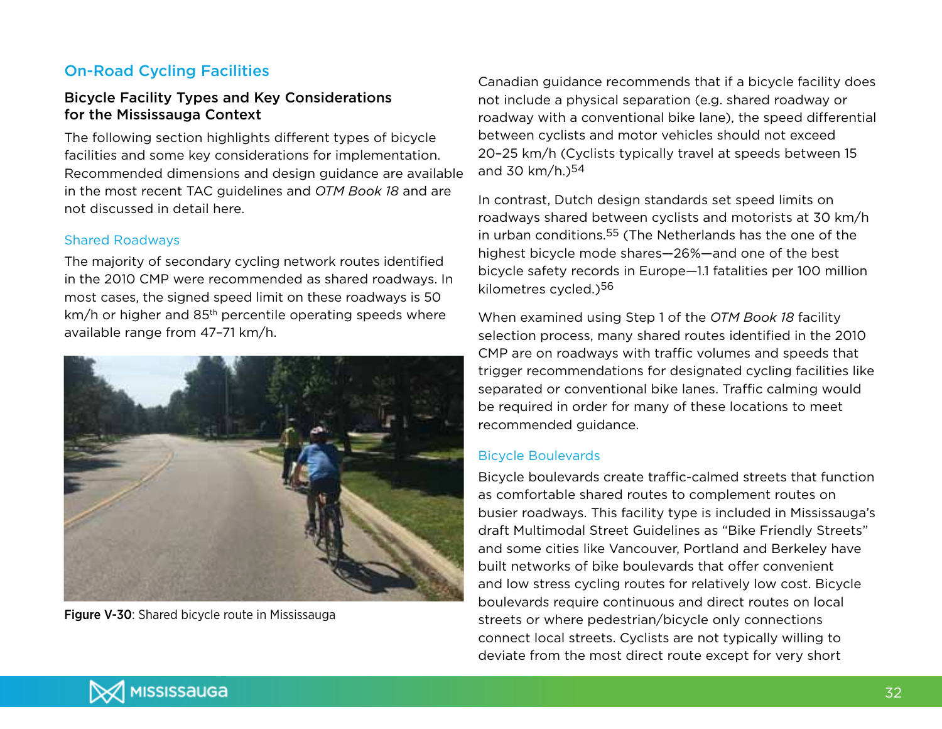## On-Road Cycling Facilities

## Bicycle Facility Types and Key Considerations for the Mississauga Context

The following section highlights different types of bicycle facilities and some key considerations for implementation. Recommended dimensions and design guidance are available in the most recent TAC guidelines and *OTM Book 18* and are not discussed in detail here.

### Shared Roadways

The majority of secondary cycling network routes identified in the 2010 CMP were recommended as shared roadways. In most cases, the signed speed limit on these roadways is 50 km/h or higher and 85<sup>th</sup> percentile operating speeds where available range from 47–71 km/h.



Figure V-30: Shared bicycle route in Mississauga

Canadian guidance recommends that if a bicycle facility does not include a physical separation (e.g. shared roadway or roadway with a conventional bike lane), the speed differential between cyclists and motor vehicles should not exceed 20–25 km/h (Cyclists typically travel at speeds between 15 and 30  $km/h.$ <sup>54</sup>

In contrast, Dutch design standards set speed limits on roadways shared between cyclists and motorists at 30 km/h in urban conditions.55 (The Netherlands has the one of the highest bicycle mode shares—26%—and one of the best bicycle safety records in Europe—1.1 fatalities per 100 million kilometres cycled.)56

When examined using Step 1 of the *OTM Book 18* facility selection process, many shared routes identified in the 2010 CMP are on roadways with traffic volumes and speeds that trigger recommendations for designated cycling facilities like separated or conventional bike lanes. Traffic calming would be required in order for many of these locations to meet recommended guidance.

### Bicycle Boulevards

Bicycle boulevards create traffic-calmed streets that function as comfortable shared routes to complement routes on busier roadways. This facility type is included in Mississauga's draft Multimodal Street Guidelines as "Bike Friendly Streets" and some cities like Vancouver, Portland and Berkeley have built networks of bike boulevards that offer convenient and low stress cycling routes for relatively low cost. Bicycle boulevards require continuous and direct routes on local streets or where pedestrian/bicycle only connections connect local streets. Cyclists are not typically willing to deviate from the most direct route except for very short

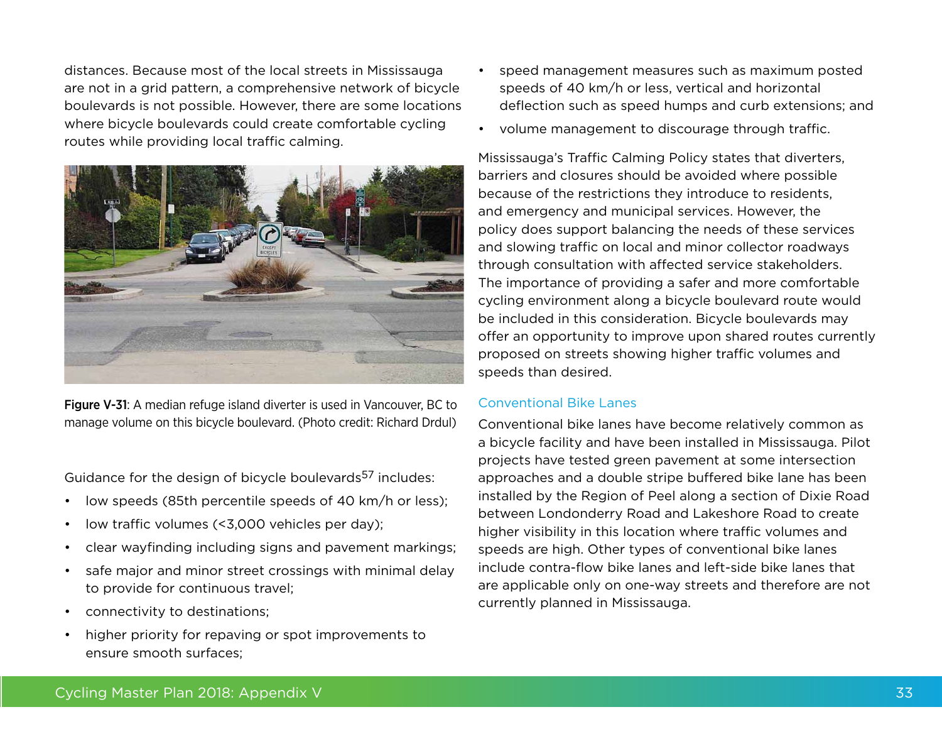distances. Because most of the local streets in Mississauga are not in a grid pattern, a comprehensive network of bicycle boulevards is not possible. However, there are some locations where bicycle boulevards could create comfortable cycling routes while providing local traffic calming.



Figure V-31: A median refuge island diverter is used in Vancouver, BC to manage volume on this bicycle boulevard. (Photo credit: Richard Drdul)

Guidance for the design of bicycle boulevards<sup>57</sup> includes:

- low speeds (85th percentile speeds of 40 km/h or less);
- low traffic volumes (<3,000 vehicles per day);
- clear wayfinding including signs and pavement markings;
- safe major and minor street crossings with minimal delay to provide for continuous travel;
- • connectivity to destinations;
- higher priority for repaving or spot improvements to ensure smooth surfaces;
- speed management measures such as maximum posted speeds of 40 km/h or less, vertical and horizontal deflection such as speed humps and curb extensions; and
- • volume management to discourage through traffic.

Mississauga's Traffic Calming Policy states that diverters, barriers and closures should be avoided where possible because of the restrictions they introduce to residents, and emergency and municipal services. However, the policy does support balancing the needs of these services and slowing traffic on local and minor collector roadways through consultation with affected service stakeholders. The importance of providing a safer and more comfortable cycling environment along a bicycle boulevard route would be included in this consideration. Bicycle boulevards may offer an opportunity to improve upon shared routes currently proposed on streets showing higher traffic volumes and speeds than desired.

### Conventional Bike Lanes

Conventional bike lanes have become relatively common as a bicycle facility and have been installed in Mississauga. Pilot projects have tested green pavement at some intersection approaches and a double stripe buffered bike lane has been installed by the Region of Peel along a section of Dixie Road between Londonderry Road and Lakeshore Road to create higher visibility in this location where traffic volumes and speeds are high. Other types of conventional bike lanes include contra-flow bike lanes and left-side bike lanes that are applicable only on one-way streets and therefore are not currently planned in Mississauga.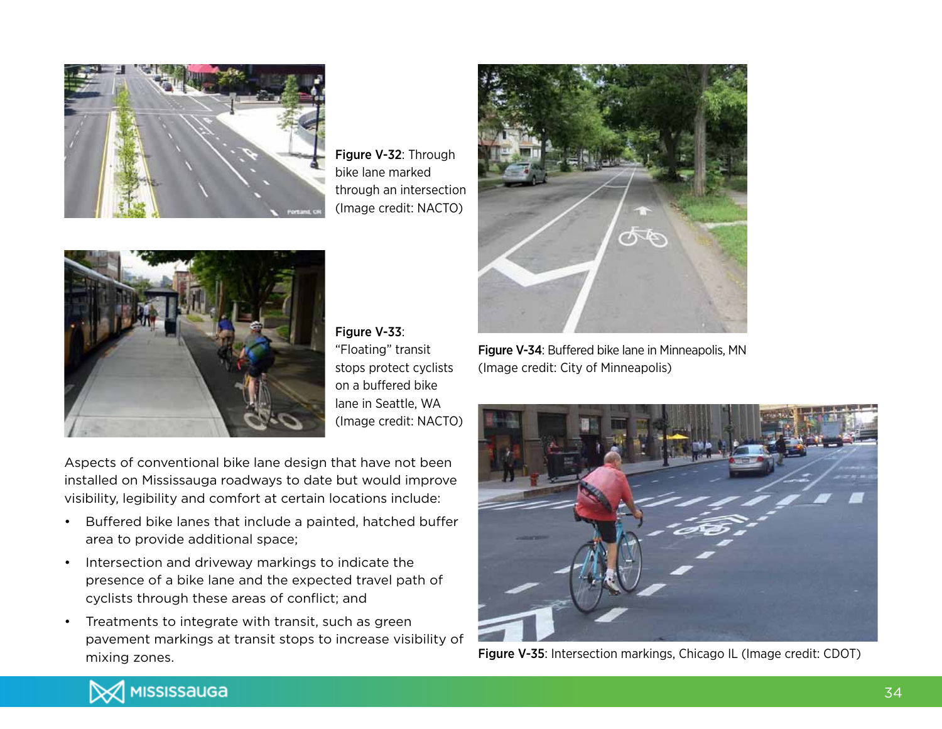

Figure V-32: Through bike lane marked through an intersection (Image credit: NACTO)



Figure V-33: "Floating" transit stops protect cyclists on a buffered bike lane in Seattle, WA (Image credit: NACTO)

Aspects of conventional bike lane design that have not been installed on Mississauga roadways to date but would improve visibility, legibility and comfort at certain locations include:

- • Buffered bike lanes that include a painted, hatched buffer area to provide additional space;
- • Intersection and driveway markings to indicate the presence of a bike lane and the expected travel path of cyclists through these areas of conflict; and
- • Treatments to integrate with transit, such as green pavement markings at transit stops to increase visibility of mixing zones.



Figure V-34: Buffered bike lane in Minneapolis, MN (Image credit: City of Minneapolis)



Figure V-35: Intersection markings, Chicago IL (Image credit: CDOT)

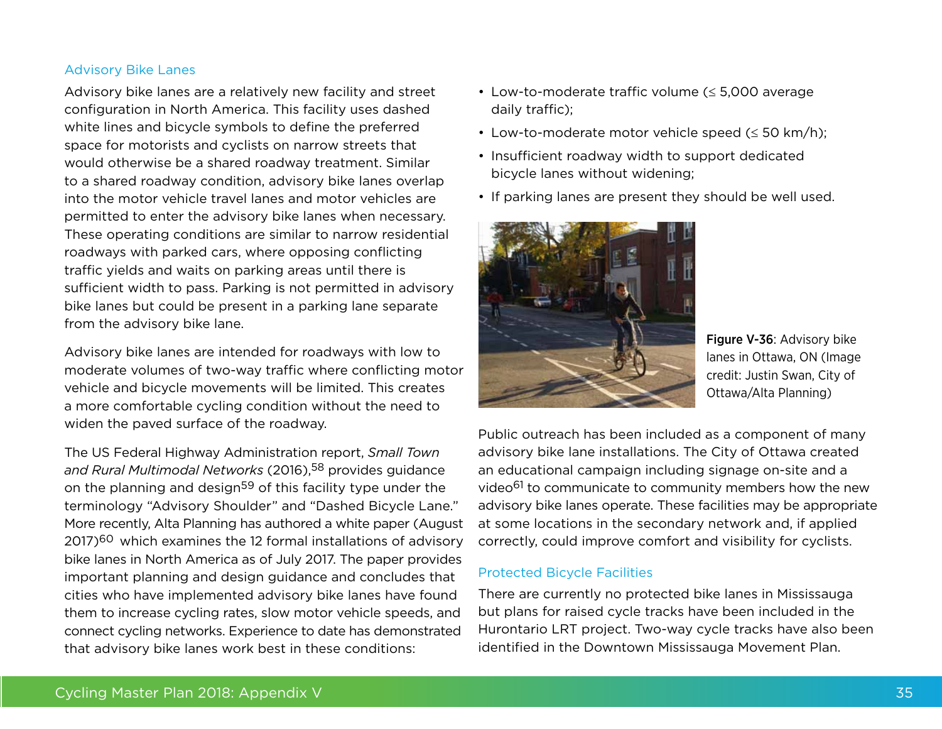#### Advisory Bike Lanes

Advisory bike lanes are a relatively new facility and street configuration in North America. This facility uses dashed white lines and bicycle symbols to define the preferred space for motorists and cyclists on narrow streets that would otherwise be a shared roadway treatment. Similar to a shared roadway condition, advisory bike lanes overlap into the motor vehicle travel lanes and motor vehicles are permitted to enter the advisory bike lanes when necessary. These operating conditions are similar to narrow residential roadways with parked cars, where opposing conflicting traffic yields and waits on parking areas until there is sufficient width to pass. Parking is not permitted in advisory bike lanes but could be present in a parking lane separate from the advisory bike lane.

Advisory bike lanes are intended for roadways with low to moderate volumes of two-way traffic where conflicting motor vehicle and bicycle movements will be limited. This creates a more comfortable cycling condition without the need to widen the paved surface of the roadway.

The US Federal Highway Administration report, *Small Town*  and Rural Multimodal Networks (2016),<sup>58</sup> provides guidance on the planning and design<sup>59</sup> of this facility type under the terminology "Advisory Shoulder" and "Dashed Bicycle Lane." More recently, Alta Planning has authored a white paper (August 2017)<sup>60</sup> which examines the 12 formal installations of advisory bike lanes in North America as of July 2017. The paper provides important planning and design guidance and concludes that cities who have implemented advisory bike lanes have found them to increase cycling rates, slow motor vehicle speeds, and connect cycling networks. Experience to date has demonstrated that advisory bike lanes work best in these conditions:

- • Low-to-moderate traffic volume (≤ 5,000 average daily traffic);
- Low-to-moderate motor vehicle speed ( $\leq$  50 km/h);
- Insufficient roadway width to support dedicated bicycle lanes without widening;
- If parking lanes are present they should be well used.



Figure V-36: Advisory bike lanes in Ottawa, ON (Image credit: Justin Swan, City of Ottawa/Alta Planning)

Public outreach has been included as a component of many advisory bike lane installations. The City of Ottawa created an educational campaign including signage on-site and a video<sup>61</sup> to communicate to community members how the new advisory bike lanes operate. These facilities may be appropriate at some locations in the secondary network and, if applied correctly, could improve comfort and visibility for cyclists.

#### Protected Bicycle Facilities

There are currently no protected bike lanes in Mississauga but plans for raised cycle tracks have been included in the Hurontario LRT project. Two-way cycle tracks have also been identified in the Downtown Mississauga Movement Plan.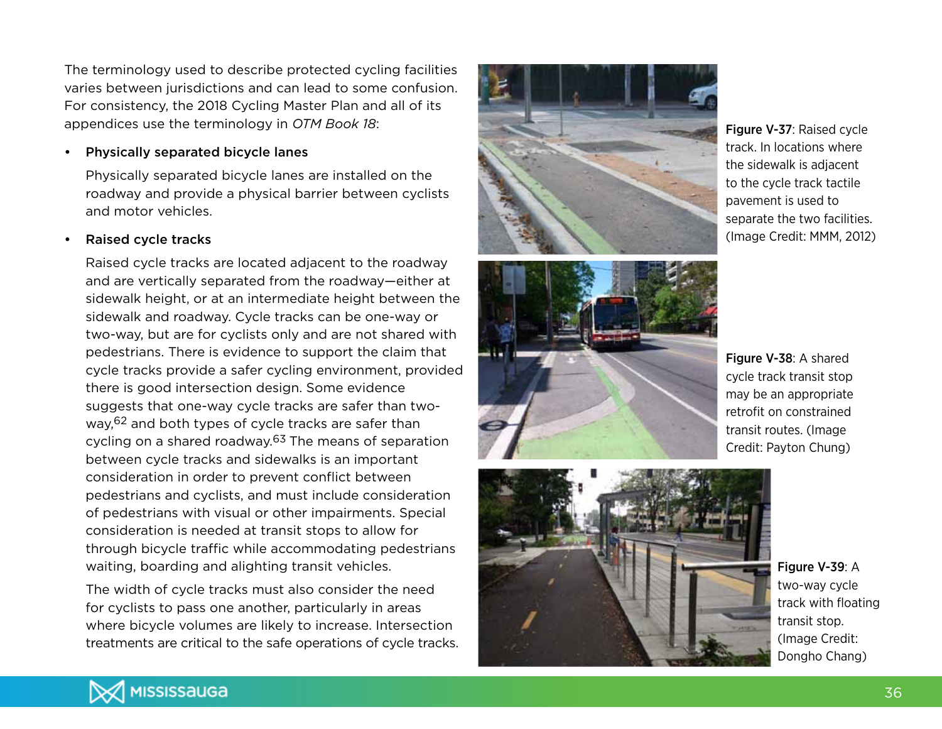The terminology used to describe protected cycling facilities varies between jurisdictions and can lead to some confusion. For consistency, the 2018 Cycling Master Plan and all of its appendices use the terminology in *OTM Book 18* :

### Physically separated bicycle lanes

Physically separated bicycle lanes are installed on the roadway and provide a physical barrier between cyclists and motor vehicles.

## Raised cycle tracks

Raised cycle tracks are located adjacent to the roadway and are vertically separated from the roadway—either at sidewalk height, or at an intermediate height between the sidewalk and roadway. Cycle tracks can be one-way or two-way, but are for cyclists only and are not shared with pedestrians. There is evidence to support the claim that cycle tracks provide a safer cycling environment, provided there is good intersection design. Some evidence suggests that one-way cycle tracks are safer than twoway,<sup>62</sup> and both types of cycle tracks are safer than cycling on a shared roadway.<sup>63</sup> The means of separation between cycle tracks and sidewalks is an important consideration in order to prevent conflict between pedestrians and cyclists, and must include consideration of pedestrians with visual or other impairments. Special consideration is needed at transit stops to allow for through bicycle traffic while accommodating pedestrians waiting, boarding and alighting transit vehicles.

The width of cycle tracks must also consider the need for cyclists to pass one another, particularly in areas where bicycle volumes are likely to increase. Intersection treatments are critical to the safe operations of cycle tracks.





Figure V-37: Raised cycle track. In locations where the sidewalk is adjacent to the cycle track tactile pavement is used to separate the two facilities. (Image Credit: MMM, 2012)

Figure V-38: A shared cycle track transit stop may be an appropriate retrofit on constrained transit routes. (Image Credit: Payton Chung)



Figure V-39: A two-way cycle track with floating transit stop. (Image Credit: Dongho Chang)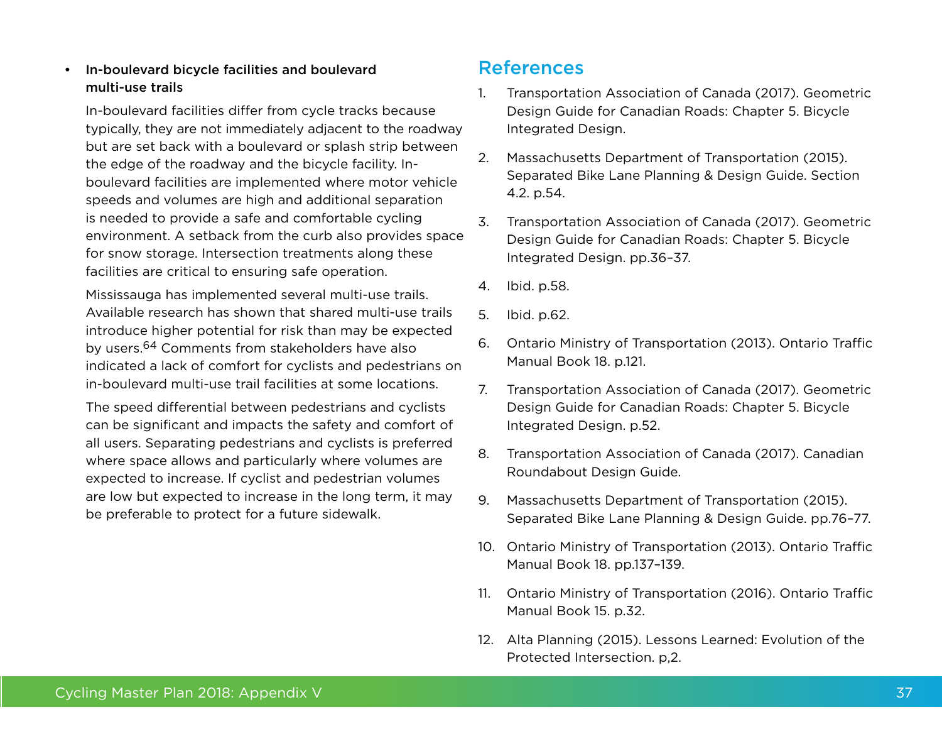## • In-boulevard bicycle facilities and boulevard multi-use trails

In-boulevard facilities differ from cycle tracks because typically, they are not immediately adjacent to the roadway but are set back with a boulevard or splash strip between the edge of the roadway and the bicycle facility. Inboulevard facilities are implemented where motor vehicle speeds and volumes are high and additional separation is needed to provide a safe and comfortable cycling environment. A setback from the curb also provides space for snow storage. Intersection treatments along these facilities are critical to ensuring safe operation.

Mississauga has implemented several multi-use trails. Available research has shown that shared multi-use trails introduce higher potential for risk than may be expected by users.64 Comments from stakeholders have also indicated a lack of comfort for cyclists and pedestrians on in-boulevard multi-use trail facilities at some locations.

The speed differential between pedestrians and cyclists can be significant and impacts the safety and comfort of all users. Separating pedestrians and cyclists is preferred where space allows and particularly where volumes are expected to increase. If cyclist and pedestrian volumes are low but expected to increase in the long term, it may be preferable to protect for a future sidewalk.

# References

- 1. Transportation Association of Canada (2017). Geometric Design Guide for Canadian Roads: Chapter 5. Bicycle Integrated Design.
- 2. Massachusetts Department of Transportation (2015). Separated Bike Lane Planning & Design Guide. Section 4.2. p.54.
- 3. Transportation Association of Canada (2017). Geometric Design Guide for Canadian Roads: Chapter 5. Bicycle Integrated Design. pp.36–37.
- 4. Ibid. p.58.
- 5. Ibid. p.62.
- 6. Ontario Ministry of Transportation (2013). Ontario Traffic Manual Book 18. p.121.
- 7. Transportation Association of Canada (2017). Geometric Design Guide for Canadian Roads: Chapter 5. Bicycle Integrated Design. p.52.
- 8. Transportation Association of Canada (2017). Canadian Roundabout Design Guide.
- 9. Massachusetts Department of Transportation (2015). Separated Bike Lane Planning & Design Guide. pp.76–77.
- 10. Ontario Ministry of Transportation (2013). Ontario Traffic Manual Book 18. pp.137–139.
- 11. Ontario Ministry of Transportation (2016). Ontario Traffic Manual Book 15. p.32.
- 12. Alta Planning (2015). Lessons Learned: Evolution of the Protected Intersection. p,2.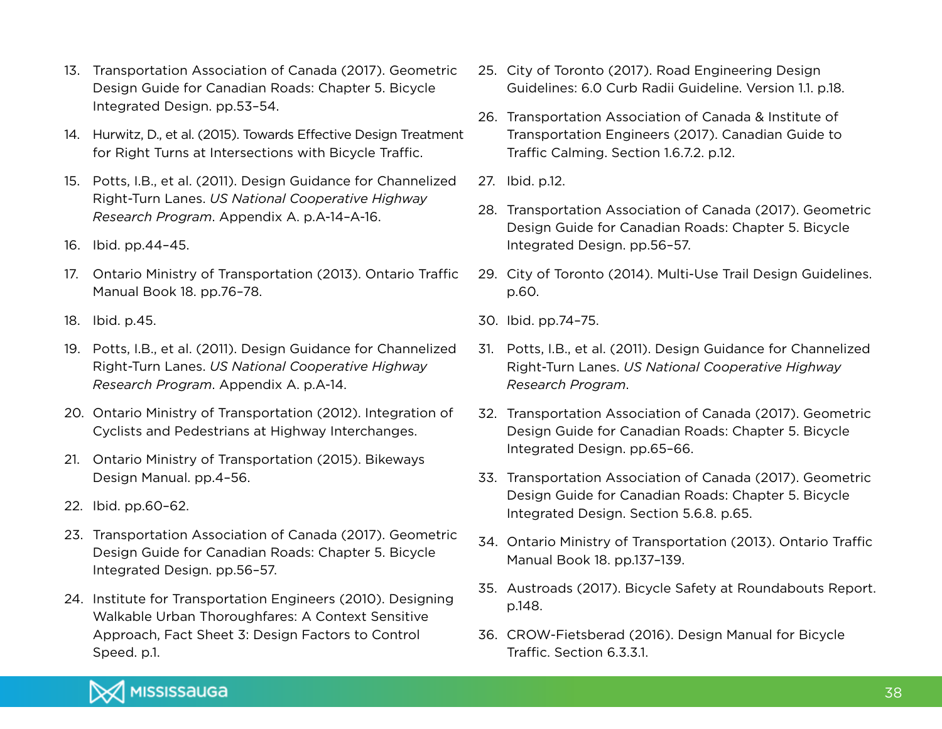- 13. Transportation Association of Canada (2017). Geometric Design Guide for Canadian Roads: Chapter 5. Bicycle Integrated Design. pp.53–54.
- 14. Hurwitz, D., et al. (2015). Towards Effective Design Treatment for Right Turns at Intersections with Bicycle Traffic.
- 15. Potts, I.B., et al. (2011). Design Guidance for Channelized Right-Turn Lanes. *US National Cooperative Highway Research Program*. Appendix A. p.A-14–A-16.
- 16. Ibid. pp.44–45.
- 17. Ontario Ministry of Transportation (2013). Ontario Traffic Manual Book 18. pp.76–78.
- 18. Ibid. p.45.
- 19. Potts, I.B., et al. (2011). Design Guidance for Channelized Right-Turn Lanes. *US National Cooperative Highway Research Program*. Appendix A. p.A-14.
- 20. Ontario Ministry of Transportation (2012). Integration of Cyclists and Pedestrians at Highway Interchanges.
- 21. Ontario Ministry of Transportation (2015). Bikeways Design Manual. pp.4–56.
- 22. Ibid. pp.60–62.
- 23. Transportation Association of Canada (2017). Geometric Design Guide for Canadian Roads: Chapter 5. Bicycle Integrated Design. pp.56–57.
- 24. Institute for Transportation Engineers (2010). Designing Walkable Urban Thoroughfares: A Context Sensitive Approach, Fact Sheet 3: Design Factors to Control Speed. p.1.
- 25. City of Toronto (2017). Road Engineering Design Guidelines: 6.0 Curb Radii Guideline. Version 1.1. p.18.
- 26. Transportation Association of Canada & Institute of Transportation Engineers (2017). Canadian Guide to Traffic Calming. Section 1.6.7.2. p.12.
- 27. Ibid. p.12.
- 28. Transportation Association of Canada (2017). Geometric Design Guide for Canadian Roads: Chapter 5. Bicycle Integrated Design. pp.56–57.
- 29. City of Toronto (2014). Multi-Use Trail Design Guidelines. p.60.
- 30. Ibid. pp.74–75.
- 31. Potts, I.B., et al. (2011). Design Guidance for Channelized Right-Turn Lanes. *US National Cooperative Highway Research Program*.
- 32. Transportation Association of Canada (2017). Geometric Design Guide for Canadian Roads: Chapter 5. Bicycle Integrated Design. pp.65–66.
- 33. Transportation Association of Canada (2017). Geometric Design Guide for Canadian Roads: Chapter 5. Bicycle Integrated Design. Section 5.6.8. p.65.
- 34. Ontario Ministry of Transportation (2013). Ontario Traffic Manual Book 18. pp.137–139.
- 35. Austroads (2017). Bicycle Safety at Roundabouts Report. p.148.
- 36. CROW-Fietsberad (2016). Design Manual for Bicycle Traffic. Section 6.3.3.1.